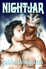# NIGHTUAR

# gabbodelaparra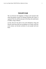## **NIGHTJAR**

<span id="page-1-0"></span>The war between the kingdoms of Munus and Lakoneh ends when the greatest warrior of Lakoneh, Bracken the Lakon, is captured. Now he will become part of the Kept, the male harem of Adder, King of Munus.

As they discover the path to love and redemption, King and Warrior must learn that not everything is as it seems, and your worst enemy can become salvation to your people and your heart.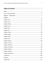#### **Table of Contents**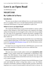# <span id="page-3-0"></span>**Love is an Open Road**

*An M/M Romance series*

# **NIGHTJAR**

#### **By Gabbo de la Parra**

#### **Introduction**

The story you are about to read celebrates love, sex and romance between men. It is a product of the *Love is an Open Road* promotion sponsored by the *Goodreads M/M Romance Group* and is published as a gift to you.

#### **What Is Love is an Open Road?**

The *Goodreads M/M Romance Group* invited members to choose a photo and pen a letter asking for a short M/M romance story inspired by the image; authors from the group were encouraged to select a letter and write an original tale. The result was an outpouring of creativity that shone a spotlight on the special bond between M/M romance writers and the people who love what these authors do.

A written description of the image that inspired this story is provided along with the original request letter. If you'd like to view the photo, please feel free to join the [Goodreads M/M Romance Group](http://www.goodreads.com/group/show/20149-m-m-romance) and visit the discussion section: *Love is an Open Road*.

No matter if you are a long-time devotee to M/M Romance, just new to the genre or fall somewhere in between, you are in for a delicious treat.

#### **Words of Caution**

This story may contain sexually explicit content and is **intended for adult readers.** It may contain content that is disagreeable or distressing to some readers. The *M/M Romance Group* strongly recommends that each reader review the General Information section before each story for story tags as well as for content warnings.

Each year, a dedicated group of Volunteers from the M/M Romance Group work hard behind the scenes to bring these stories to you. Our Editors, Formatters, Proofreaders, and those working on Quality Assurance, spend many long hours over a course of several months so that each Event is a success. As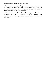each and every author also gives freely of their time and talent, it was decided that all edits suggested may be accepted or rejected by the author at any given time. For this reason, some stories will appear to be more tightly edited than others, depending on the choice of the author.

This story is a work of fiction. Names, characters, places and incidents are the products of the author's imagination or are used fictitiously. Any resemblance to actual events, locales, or persons, living or dead, is entirely coincidental.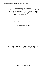All rights reserved worldwide.

This eBook may be distributed freely in its entirety courtesy of the Goodreads M/M Romance Group. This eBook may not be sold, manipulated or reproduced in any format without the express written permission of the author.

Nightjar, Copyright © 2015 Gabbo de la Parra

Cover Art by Gabbo de la Parra

This ebook is published by the *M/M Romance Group* and is not directly endorsed by or affiliated with Goodreads Inc.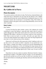# <span id="page-6-0"></span>**NIGHTJAR**

# **By Gabbo de la Parra**

#### **Photo Description**

Two ancient warriors on the deck of a ship. The first has a battered helmet with white horse hair as adornment, his eyes look into the distance. He is slightly arched upward because the warrior behind him is holding his throat in a very possessive manner; this second man is crowned like a king. Their bodies are intimately united as the groin of the warrior-king dominantly curves over the other's backside.

#### **Story Letter**

#### *Dear Author,*

*It seems the King has taken another consort. He's infamous for seeing something he wants and taking it, especially after battle when he needs to syphon off aggression. Who needs consent when one's word is law in the realm? Judging by that soldier's calm face he well knows what he's in for and knows better than to resist too much, or too little, with other eyes upon them. Of course this battle-hardened man might be more than the King bargained for once they're in the relative privacy of his chambers.*

*Kings aren't well-known for their generosity in bed. I might go so far as to say they can be a bit careless of others' enjoyment. So my question for you, Dear Author, is whether this soldier is turned on by all the manhandling and disregard for his satisfaction, or if he will challenge his liege and get some of his own back. Does the King crave submission from his lovers when all he gets is resignation, or will a challenge light his fire? Either way, I'm sure it will be hot.*

Drop these two into any context you please. Historical, futuristic, fantasy, role-playing in leather, I will gladly read any of them. I'm not squeamish so take the non-con/dub-con as far as you like. An HEA isn't necessary, but I'd like for both of them to eventually get what they need out of the time they have together.

*Thanks,*

*Erin*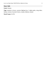#### **Story Info**

#### **Genre:** fantasy

**Tags:** enemies to lovers, warriors fighting love, 2 alpha males, wing riders, fantasy version of ancient Greece, royalty, dubious consent

**Word Count:** 32,792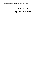# <span id="page-8-0"></span>**NIGHTJAR**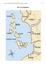

#### **The Ten Kingdoms**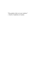*"The gryphon riders are your solution*." —Oracle of Apheilon at Cummia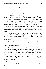#### **Chapter One**

#### *Taken*

<span id="page-11-0"></span>"Oh, my King," the warrior moaned.

Bracken didn't like to be called king. All kings were a bunch of peacocks; he wasn't like them. He took the cock out of his mouth and grunted, "Harder."

It was great to have mighty cocks in both his holes, rewarding his warriors for a successful battle. These two were not the first fucking him tonight and would not be the last. The ambrosia of victory made him insatiable. He was proud—no other king of the Ten Kingdoms could say he had defeated Munus.

The hands gripping his hips pulled and guided. The hands pulling his braid and holding his jaw commanded. All three swayed as their bodies collided, dimmed lamps creating soft shadows in stark contrast with their powerful motions.

Long ago, before his older brother died, Bracken had wanted to be a scholar, but duty trumped dreams. Still, Apheilon was good; Bracken would never have known the pleasure of rough, calloused hands on his body if he were a man of letters instead of a warrior, protector of his people. He would not change a thing.

"So close, my King." Jaxton, the one ramming his mouth, shuddered.

Bracken heard a ragged chuckle behind him. "I'll beat you to it," hissed Brummi, speeding his pumping.

On all fours, Bracken was a beast in heat, ready to climax without even touching his own hard cock. He moved the hand he had been using to clutch the unpretentious covers of his makeshift bed to tug between his legs—to join his men in completion. Three volcanoes erupted simultaneously. The internal scream of his climax was glorious as he was flooded in both ends.

Yells outside the tent sharply removed them from blissful heights. Their camp was under attack. One of his men entered the tent, his eyes wild. "King Bracken, gryphon riders!"

#### *Fuck.*

"Ride your vultures. Don't leave a single one of those motherless dog-sons alive."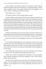Jaxton, Brummi, and Bracken jumped and scattered to grab weapons. Before the soldier could turn to leave the tent, a sword skewered him—his last sound a gurgled scream. They quickly picked up their long daggers; a tent wasn't a place to wield big swords like his Charos.

Their nudity wasn't a concern.

Ten enemies rushed in. Metal clashed. Bodies swirled.

Trained to fight in enclosed spaces like his low-ceiling tent, Bracken was surprised by the equal ability of his enemies. Their short swords didn't arch but worked laterally and horizontally. Still, enemy limbs were severed; blood gushed and stained. Bracken rolled to avoid a sharp edge coming at him, the coarse floor mats feeling strange against his bare skin. He almost hurt himself with the main post of the tent. Luckily, the weapon of one of the attackers got stuck in that same post, giving him the chance to stab the bastard in his armpit to disable him and finish him with a quick throat slash. The gash sprayed blood over him.

Bracken lost Brummi first. By the time Jaxton went down, Bracken was surrounded by three wickedly thin swords pointing at his neck. "Come quietly, Lakon. We have orders to take you alive. I don't like to disappoint my master."

Bracken growled but let his long dagger fall. Better to live and fight another day.

That resolution flung dangerously as he stepped out of his tent. His camp had been razed. Not ten paces from his tent, four enemies were lancing the last giant bearded vulture alive, Silvercall—his own mount. Slowly rising in the east, the first rays of the new day made her white feathers look almost golden as she lay dying.

They tied Bracken's hands and feet, then tossed him like a stinky bale on the lap of a rider. The gryphon jerked impatiently, eager to fly.

Shrieks and screeches accompanied the launching of a myriad gryphon riders. Bracken wondered how they had managed to come to their camp so quietly and surprise them.

They flew west toward the ocean, the taste of cum and blood on Bracken's tongue—the seed of fallen warriors silently dripping from his hole. His hard-on softened as the adrenaline left his body. Mourning and dread were not options… yet.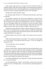Soon, potent wings sailed over Cummia, the islet where the Oracle of Apheilon resided. Only those strong enough to swim from the beach and brave the shark-infested stretch to reach the jagged shore surrounding the temple were worthy of an answer. Bracken had done it only once for his people.

#### *Perhaps if the vulhurs had been ready…*

No. Lakonians didn't dwell in "ifs." When they heard the music, they'd face it and dance.

His custodian's gryphon, and several more, alighted on a massive ship in the middle of the ocean. Bracken assumed the others continued to Munus. The sun was almost in its zenith; sweat made Bracken's eyes itch. Good thing his hair was still tightly braided. He was pushed to his feet and untied. Sailors started to fill the deck. Some looked interested, others like they had better things to do than watch what was about to happen. Whatever that was.

"Bracken the Lakon. Rider of Vultures. King of Lakoneh. Welcome to my ship." The voice should have been a whip, instead it sounded like rough fingers over his lips, prying them open. He heard the murmurs and noticed how those uninterested before were eager now.

Bracken turned to face the man. "Adder." He would not say his enemy's titles.

Adder tilted his head sideways; he smirked. "You would not acknowledge me as your equal?" He tsked and shook his head. "It will not change the outcome anyway."

"I'm your prisoner. We are not equals."

"You're still a king."

Bracken would still be a king after Adder bent him and fucked him in front of all his men, as was the custom with the vanquished. What would happen after that was a different matter. The shriek of a gryphon hardened Bracken. This fucker had killed his valiant men and their precious vultures, including his own Silvercall. He would take the humiliation for them. He would be claimed, but he was still bathed in the blood of his enemies.

Two soldiers grabbed his arms to guide him to Adder. Bracken shook them off. "I can go by myself."

Icy eyes appraised him. "Eager?" asked Adder, and the men on the deck cackled. He was in full battle gear. Two manservants started helping him to undress.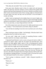"Why delay the inevitable? That's not the Lakonian way."

Forty paces later, Bracken stood in front of a naked, tall, and muscular Adder. His dark hair with faint whispers of silver enhanced the golden band adorned with three black diamonds over his brow. Bracken was shorter, but he didn't need to raise his head to look at those cunning, night eyes. Bracken had a lot more white in his hair, but they were not old men; it was the burden of royalty and ruling.

Adder's hard cock glistened in the midday blaze in its nest of night curls. Under other circumstances, Bracken would have appreciated length and girth and been excited about it. Same for the massive chest covered in delightful fur. Now it was pure duty, as many things had been in his life.

One of the manservants came with a pot of oil. Adder poured some over his cock, coating it. "Turn around and on your knees, King of Lakoneh."

"You will take me standing. If you force me to my knees your cock will pay for it."

These words gave pause to Adder—but fleetingly. If Bracken hadn't been staring him down he would not have seen it.

"As you wish," Adder said. A pinch of something Bracken couldn't decipher made the voice deeper, almost heady.

A big hand found Bracken's neck as soon as he gave his back to Adder. It caressed his Adam's apple, while the oil-coated cock breached him. Soon Bracken was flush against Adder's groin. It felt so fucking good he almost moaned. Almost. He didn't close his eyes in bliss either. He glared, making eye contact with every single man on that putrid deck.

But this dog-son, Adder, didn't batter Bracken like he was supposed to. He did it slowly, languidly, nearly savoring it. This wasn't the way. The heat, the slowness, the hand caressing his throat, the fingers playing with his pubic hair, all conspired to unhinge Bracken. It was hard to resist; it was hard not to push back and impale himself on his enemy's wonderful cock.

"You're going to embarrass yourself," Adder whispered playfully in Bracken's ear.

"Damn you."

```
"Beg me to stop."
```
"No."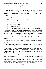"You're enjoying this, aren't you?"

"No."

Adder was whispering, while Bracken was answering back loudly. Surely the men around them thought Bracken was saying "no" out of fear or due to the humiliation of being vanquished. Adder grabbed Bracken's cock and tugged.

"No."

"I'm going to get you hard and make you come."

"NO. That is not the way, and you know it!"

"Do I look like a give a fuck about *the way*?"

"Adder, stop," Bracken sighed.

"Beg, so my men can hear you."

"Adder, King of Munus, Beloved of Erin, Master of Gryphons, please stop," Bracken said loudly. The only thing making it a plea was the word "please." Everything else sounded like a command—or an insult. He knew Adder would not stop, but Bracken couldn't bring himself to beg like a weakling. He would rather swallow his tongue to defuse his unhelpful libido.

"That's a good king." Adder pulled Bracken's braid down, making his taut, wired body arch.

After three powerful thrusts, Adder came with a war cry that had his men cheering.

Bracken expected to be tossed toward the soldiers approaching them as Adder's cock vacated him.

But Adder surprised him; he turned Bracken around and touched his brow with Bracken's. They stood like that for several heartbeats. When they separated, he said to his men, "Bathe and clothe him. He and I will have a meal after that in the deckhouse."

Bracken was taken below deck, where soldiers—not manservants—attended him. They let him soak his sore muscles in a wooden tub filled with warm water for a while. He was scrubbed and perfumed and given a rich burgundy tunic, a belt made of golden circular plates, and soft sandals that felt like pristine clouds. He didn't let them unbraid his hair. Hair could be untied when you were done battling; Bracken didn't think he was done yet.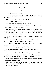#### **Chapter Two**

#### *Favorite*

<span id="page-16-0"></span>"What in the name of Erin was that?"

"I don't know." Adder ran a hand through his hair. He paced around the deckhouse.

"You didn't break him," said Renan, surlier than usual.

"I didn't feel like breaking him."

"You know he's a fucking trophy not a pet, right?"

"I'm aware of that, Great Counselor." Adder gave his best friend and second in command a nasty look. "I just couldn't."

"You have twelve Kept, five War Trophies and seven Offerings. I've never seen you hesitate to break a War Trophy. Or an Offering for that matter." Renan made that weird sound that was supposed to be a chuckle. Most people cringed when his friend made that sound.

"How do you want me to explain to you something I, myself, cannot begin to grasp?"

"You weren't just unable to break him, now you're having a meal with him! He's supposed to be under lock until we reach the palace!"

"What is he going to do, Renan? Fling himself into the ocean? He knows he is a trophy, and he has honor."

"I don't know. His reputation says he is wicked in battle."

"By losing her king, Lakoneh has learned her lesson. The battle is over; Munus won."

Renan's hand rested on Adder's shoulder. "Are you sure you won?"

A knock on the door saved Adder from having to deal with that question. He didn't have a clear answer for it, and that was disturbing.

Renan went to open the door and, with an obnoxious flourish, gestured Bracken inside. "King Bracken."

Adder caught the minute flinch at the word "king." He moved to the table and started fixing a plate for Bracken. The silence made him turn back toward the two men. "What's going on?"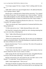"I'm trying to gauge if he has a weapon. There's nothing under his tunic, but…"

Adder didn't roll his eyes, but he thought about it. He addressed Bracken, "You're going to behave, right?"

Bracken gave a withering look to Renan before answering. "You claimed me in front of your men. I'm your property now. I know my place." And just when Adder thought he was done, Bracken added, "Besides, if I wanted to do something dishonorable, as long as my hands are free I don't need a weapon…"

What a wonderful contradiction Bracken the Lakon was. "You see, Great Counselor? He's going to behave."

"That's not what he said," Renan sputtered as if someone had hit him with a flying chamber pot.

"I'd like some privacy now." Adder dismissed Renan with a wink.

His friend left, closing the door quietly but with a droning muttering that was a lot worse than a slamming door.

"Here." Adder offered Bracken the plate he had been serving.

"Where are your manservants?"

"There are no manservants on this ship. The two men you saw helping me undress are punished soldiers. They did something very stupid and cannot wear the colors of Munus for two moons."

Bracken shook his head. "You're a cruel man. The colors of his people are sacred to a warrior."

"You'd rather have them lashed."

"I don't know what they did, so I cannot rule on their sentence, but two moons without the colors of your country is cruelty."

Adder sprang, like the viper that gave him his name, and grabbed Bracken by the jaw with one hand, squeezing it. "You think I'm cruel?"

Bracken narrowed his eyes and closed his fists, but didn't move to free himself. "I'm undecided," he growled between his teeth.

Adder's hand snapped open. "That you are."

This king of Lakoneh was going to drive him crazy. All the control he had shown while being claimed, when it was obvious that he was enjoying it, had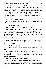turned Adder's fury into scorching lust. Not the kind of lust easily sated with conquering your partner, but the one that needed slow methodical determination to subjugate, to own, to possess. Adder wanted to see Bracken writhing, overwhelmed with pleasure. He wanted to shatter those walls that weren't fear but discipline. Yes, Adder had bent other men, and they had shown restraint, but because the action was alien to them and it was their duty to grit their teeth and take it. This rider of vultures was something Adder hadn't encountered before.

"Why do you look at me like that?"

Bracken might know the situation, but he wasn't going to stop being a king easily, and that was fine with Adder.

"How am I looking at you?"

"You seem inclined to open my head and examine my brain."

Adder tilted his head and stared into those ghostly eyes. Bracken's eyes were like a cloudless summer sky when the sun was at its highest, so light they were almost colorless, and his tanned skin made them more haunting by contrast. He walked to the door without answering and opened it. He yelled, "Raise anchor. We're going home."

The men cried, "Adder," in response.

Returning to the table, Adder started to fix his own plate. He felt Bracken's eyes following and studying him. He sat. "Let's eat. My palace will be a better place for examinations."

"If you say so, Beloved of Erin."

"You know, you say those words as if it is an insult. Don't you worship the goddess?"

Bracken looked at Adder as if he had sprouted another head. "Of course I do. She's the goddess of the land, the queen of the waters, mother of gryphons and vultures and all nature. She and Apheilon are everything, the balance, day and night, life and death."

"You're reciting like a scholar not a believer."

"And you said the examinations were going to happen at your palace." Bracken grinned cheekily. This made his features soften, but not in a weak way. It made them look almost divine, as if he were a statue of Apheilon come to life.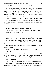"You're right. Let's finish the meal and go outside for some fresh air."

They didn't speak another word until done. Adder stood and gestured toward the door. Outside two gryphons were grooming each other under the vigilant eye of their riders. One of the punished soldiers vigorously dried Adroit, Adder's gryphon, who apparently had decided to take a dive and procure his own meal from the ocean. Now and then, Adroit would poke him with his beak, as if aware of the man's sins.

"I thought they would be noisier," Bracken commented as they moved fore.

This surprised Adder since he had expected a silent Bracken for the rest of the journey. Still, he answered with his own question. "Are your vultures noisy animals?"

"No."

"Then what made you think gryphons would be so?"

"I haven't been around them much, but the ones I recall were a loud bunch."

"They were either untrained or sick."

" $Oh$ "

They stopped at arm's length from Adroit. The gryphon moved his head forward so Adder could pet him. Adder did it absentmindedly, mostly gauging Bracken's reactions. Those magnificent eyes softened as Bracken heard the soft murmurs Adroit was making while petted. "You can touch him," Adder offered.

Bracken narrowed his eyes and his features turned murderous. "Your men killed my vulture."

Before he could censor his mouth, Adder said softly, "I'm sorry."

"Are you?"

The words hadn't been quiet, and the two riders close to them stared. "Do not question me, Lakon," Adder said angrily, more for the benefit of his men than from actual ire. Adroit looked at him quizzically, thanks to his tone.

"That's what I thought."

It had come out under Bracken's breath, but Adder heard it nonetheless.

This was not what Adder had intended. He gestured toward starboard. They propped their elbows on the rails as they reached the bulwark. The silhouette of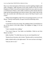Busar was a faint interruption of the horizon; soon the engulfing twilight would make it disappear. Adder had been in the yearly summit of the Five Ocean Kingdoms in Gikid. It moved from island to island every year, and in two years it would be back to Munus, where Adder would have to deal with the other four kings and the thousand people each used as retinue. Why couldn't they be like him, who traveled only with Renan and a team of the Royal Guard to such events?

"Which Ocean Kingdom is that? We are not moving toward it, so it's not Munus," Bracken asked quietly, his gaze toward the darkening waters.

"It's Busar."

"I went there my first year as king. The wedding of their Crowned Prince to one of the princes of the other islands. The kingdom of Zigag, if I'm not mistaken."

"I don't remember that wedding."

"You weren't king yet. Your father was bedridden. I think no one from Munus was there."

Adder chuckled. "I'm older than you, but you were king before me."

"Destiny has no favorites, only victims," Bracken said in a convinced tone.

Adder exhaled softly as the night neared. "We were not born to be kings."

"And yet, here we are."

\*\*\*\*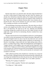#### **Chapter Three**

#### *Kept*

<span id="page-21-0"></span>Bracken slept alone in an unlocked cabin. His body simply decided that it was best to sleep instead of being awake and alert when his situation was already clear. He had been claimed by Adder as War Trophy and thus bound by honor to accept this man's ruling over him. He would be a Kept, and that was that. There were no Kept in Lakoneh; Bracken didn't leave enemies alive to become his pets. That was the Lakonian way: give your enemy a just death. Still, accepting your destiny was also honorable.

The loud dealings of mooring awoke Bracken. The entire ship was a blur of activity as he stepped onto the deck. Sails were folded, men yelled, gryphons flew in all directions. He stood out of the way, admiring and absorbing everything. Perhaps this would be his life now since Adder traveled a lot and might take a Kept with him for entertaining. Bracken wondered how many Kept Adder had.

The peace between the five Ocean Kingdoms and the five Land Kingdoms was relative at best and maintained with constant skirmishes. Big battles, like the one he thought he had won only to lose his men afterward, were rare but inevitable in an area where any slight could be considered a war declaration. To Bracken's knowledge, a king would only have high-ranking enemy officers, princes, or another king as Kept. Adder had subjugated the Land Kingdom of Vurgeg, Lakoneh's north neighbor, three years ago, but their king hadn't been at battle. Now Vurgeg was vassal to Munus, and all other kingdoms were trying to be extremely nice with the most powerful Ocean Kingdom. Bracken had had an honorable motive for war, so if this was the outcome, he welcomed it with acceptance in his heart.

Adder walked toward him with a friendly face. Like there was a reason for them to be friends. Although, Bracken felt uncharacteristically confused by the way things had unfolded between them the previous day. His body had taken away the option to think about it last night. Now it was Adder's presence.

"Morning. We're going to Gryphonire."

"I've never ridden a gryphon," Bracken said, unapologetic.

"I'm riding you." Adder smirked.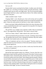#### *Sure you will.*

Bracken didn't answer, just kept his face blank. A soldier came with Adroit. Her saddle was a rich thing of luminous leather and gold adornments. Adder climbed easily since he only wore light armor. The way his powerful lightly haired thighs held him in place made Bracken think of the ruthless battering that never took place.

Adder extended a hand. "Come"

Clasping Adder's wrist, Bracken put a foot on the stirrup and was pulled upward. It was wrong the way his body reacted as he sat between pommel and groin. Almost the same position he had been in when Adder claimed him.

Reins in one hand, Adder pulled Bracken flush to his chest; the plates of his cuirass reminded Bracken this wasn't supposed to be enjoyable. He whispered in Bracken's ear, "Ready?"

The soft blow was a malign caress. Bracken couldn't help an involuntary shiver. This angered him. He growled, "The Lakon is always ready."

"We'll see. Home, Adroit!" Adder ordered with a pull to the reins.

Adroit launched herself upward almost vertically, something vultures didn't do. The gryphon did several circles, making the enormous ship look smaller and smaller, then headed south across the island.

"Why to Gryphonire and not to the city palace?" Bracken asked just to shake his mind away from memories of Silvercall and the nuisance of Adder's body pressed against his.

"Two reasons. I want to see my son after a week away from him and my true bed is at Gryphonire."

#### *And his fuck toys need to be close to his bed.*

Beyond the large fortified capital city of Munus, Varvarar, they flew over gentle green slopes and hills, grazed by all manner of bovidae. Extensive grain and produce farms colored the plains. Bracken knew of the rich metal mines toward the northern end of the island. These things made the people of Munus not just healthy and prosperous but eager to expand their power. Under normal circumstances Lakoneh would not envy Munus's wealth, but things had been hard last winter. It all led to Bracken being on the back of a gryphon with his traitorous body relishing Adder's harsh embrace during the entire two hundred and fifteen *mileh* flight. An hour of sensual torment.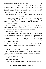Gryphonire was a tall rock formation in the middle of a solitary, shallow bay and only accessible by wings. One thing was to hear about it and another to see it with your own eyes. A formidable complex confidently lay on top, blinding in its splendor of long, white-marbled columns and walls, crowned with red-tiled roofs. Bracken was awestruck.

Adder must have sensed it in Bracken's body language because he murmured, full of himself, "Impressive, huh?"

A childish part of him, the one that had been climbing inside him irreverently and steadily since Bracken mounted the gryphon, wanted to say, "Meh." But the honorable adult, the respectful adult said, "Very much."

"I'm glad you like it."

These words didn't make any sense. Why would Adder care what Bracken thought of his nest palace? The way he spoke, the way he tilted his head to observe Bracken was pure nonsense; it made Bracken uneasy.

Bracken wasn't keen on uneasiness.

Gryphons and their riders came and went from the many terraces jutting from the monumental grey rock. They alighted on the one closest to the complex and dismounted. A muscular red-haired man and a boy that looked like a small version of Adder came to greet them, along with guards and servants to handle Adroit. The boy jumped into Adder's arms, exclaiming, "Abba, I missed you so much!"

Adder kissed the boy's face many times while ruffling his hair. The boy giggled, content. "I missed you too, son." Adder squeezed the boy with his powerful arms. "A lot." He turned to the redhead with a nod. "Selleck."

"My King," said Selleck with a reverent bow.

"This is your new charge, Bracken the Lakon. Rider of Vultures. King of Lakoneh," Adder informed Selleck, pointing at Bracken with a swift jaw movement.

"King Bracken." Selleck bowed again.

Bracken nodded politely.

"Lakon, meet the Overseer of the Kept." Then the boy elbowed Adder. This made Adder chuckle. "And this is my son, Prince Deron."

"Hello!" said Deron with all the enthusiasm of a whirlwind.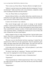"Nice to meet you, Prince Deron," Bracken offered as he lightly bowed.

"Selleck, I want the Lakon in my chambers after the evening meal. You two are dismissed." Adder stood there with a stony demeanor, completely at odds with everything he had done until that moment.

"Yes, sire. Please follow me, King Bracken."

Bracken followed Selleck, a bit miffed. Before they exited the terrace, he looked back and caught Adder staring at him with his head a little tilted and his brow furrowed as Deron talked to him animatedly.

#### *It seems I am not alone in my confusion.*

They moved through ample rock tunnels to emerge on the beautiful complex's central courtyard. Men and women went about their daily activities, the calling of gryphons now and then interrupting the natural human bustle. They wound between columnar corridors of white marble adorned with giant vases of precious metals. A standing man could easily fit in any of these odd vases. Perhaps that was their actual purpose.

Selleck stopped in front of a huge, darkwood door. Intricate battle scenes lined it. There were no soldiers guarding it. "Here we are. This is the residence of the Kept." He pushed the door.

The place was not what Bracken had been expecting. It looked like the monstrous love child of an inn and a gymnasium. Exercise equipment, game tables, and huge canopy beds with colorful drapes. The walls were pink and red; Bracken had never seen pink walls, not even in whorehouses.

At the other end of the strange room, a full pool glittered. A pool where something unpleasant was happening.

"He doesn't look like he's enjoying it." Bracken eyed Selleck narrowly. Why wasn't he stopping the two men forcing a younger one?

"I don't think you are supposed to enjoy it. Penetration hurts."

"Experience?"

"And a most hurtful one." Selleck shook his head. "Don't worry, if they get too rough with him I'll stop them, and if they hurt the boy more than needed, I'll punish them."

"Magnanimous."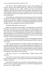"Oh, shut up." Selleck grabbed Bracken's upper arm and guided him forward. "Don't let this moment disturb you. Those are two War Trophies making an Offering pay for a prank." Selleck must have seen Bracken's confusion written all over his face because he explained, "Offerings are sons of wealthy families offered for a boon or to ingratiate themselves with our king. Seven Offerings and five War Trophies share this space—well, now six with you, King Bracken.

"Those Offerings are little demon pests that gang up on the War Trophies. Obviously they must do it singling one at a time, and this leads to each group trying to one-up the other constantly." Selleck kept moving Bracken toward the left side of the hall. "Last week the seven Offerings gangbanged one of the War Trophies. He was not happy all covered in semen at the end."

"And King Adder approves these antics?"

Selleck's face became serious abruptly. "Our King doesn't care much for the Kept. He uses them once or twice when they arrive and then forgets about them. After a few years he sends the War Trophies as chiefs of distant out-ofthe-way barracks. The Offerings might become ambassadors or administrative officers somewhere. You're the first actual king he has. I know his father had the King of Doriar, but I'd need to go to the archives to find out what was done with him." Selleck seemed genuinely apologetic.

Doriar was the southernmost kingdom of the five Land Kingdoms. Bracken remembered that story of the King of Doriar becoming a Kept from when he was a child.

"This is why the Lakon doesn't have Kept," Bracken said under his breath, as a glare caught his attention. It was a glittering gold statue of Apheilon, on a pedestal between red columns. Bracken ate the twenty paces swiftly and went to one knee reverently. "Father, bless my people and give wisdom to Idared to guide them until my nephew, Fern, can rule as my successor." He then recited the old prayers. He stood up when he finished.

"Why don't you have a son, King Bracken?" Selleck asked, clearly interested.

"I don't have use for women. I prefer men. The son of my sister Laelia is my heir. Idared, his father, is my first general. His parents will be good regents until Fern is sixteen."

"King Adder is the same way, but he paid a woman handsomely to carry his child. Of course we had her under lock for a year before he impregnated her just to be sure." Selleck chuckled.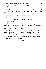They had succeeded because the little Boy-Prince was an exact replica of Adder.

"That idea never crossed my mind," accepted Bracken. "Fern was already three years old when I became King, after my older brother died without any children of his own. It was an instant given."

"I see. Well, there's no point now." Selleck nodded.

"True."

"I think it is time for you to be introduced to the other Kept."

"Lead the way."

As Bracken walked to meet the War Trophies and Offerings, he wondered why Adder wasn't more active with his Kept. Was he in love with someone? He didn't have an official consort; it would have been common knowledge around the Ten Kingdoms if there was one.

What about that dog-ass Great Counselor? No. That wasn't the vibe between them. It was friendship, the kind of friendship Bracken had with his own second-in-command, and now regent for his nephew.

Perhaps King Adder wasn't a sexual being. No shame on that either.

*Yeah, keep telling yourself that lie.*

\*\*\*\*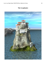## **The Gryphonire**

<span id="page-27-0"></span>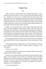#### **Chapter Four**

#### *Guts*

Adder was nervous, and he couldn't find a rational explanation as to why. Bracken wasn't his first Kept. Yes, he was the first king Kept Adder ever had, but… Bracken was more; he was a kindred spirit. Not just because both preferred men; this was intelligence he had received when he became king and learned about the other rulers of the Ten Kingdoms. Perhaps it was that neither of them had been born to be king. The gods had put them in that position without caring if they wanted it or not, and both had succeeded in taking care of their people without becoming ruthless and bitter.

Perhaps it was because both were riders of great flying beasts (his other Kept were from kingdoms without flying riders). They both knew the exhilaration of being in the sky, controlling power beyond human capabilities: men could swim, men could run, but men could not fly. Perhaps it was that he should think this man brutal and perverse and he couldn't. Still, Adder felt it was something else altogether; he couldn't name it yet, but it was his intention to find it out. He was not used to unnamed things wreaking havoc within him.

He was pacing around his chamber when a soft knock on the door made him stop. He pulled his tunic down, straightened his crown, and answered, "Come in."

Selleck opened the door with Bracken in tow. He did a half bow. "My King, here is Bracken the Lakon, Rider of Vultures, King of Lakoneh, as you commanded."

"Thank you, my friend."

After another half bow to each, Bracken and Adder, Selleck turned around, opened the door and left, closing it.

Bracken was scowling at Adder. He stood there by the entrance like a statue under a severe rainstorm. Even his fists were clenched, and yet he looked magnificent in his white and gold tunic, plaque belt, and sandals with leather strips up to his knees. The servants had undone his war-braided hair, and it cascaded in salt-and-peppered curls beyond his shoulders. He seemed a bridegroom on his wedding night.

A very pissed-off groom.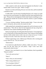Adder wanted to smile and ask what had happened, but Bracken's rocky features didn't invite even a grin. "What's wrong?"

Bracken was silent and fuming. His eyes were mere slits, and his mouth had a murderous rictus.

If Adder didn't trust the honor bounding Bracken to be a Kept, he would have drawn his sword instantly. He walked toward the Lakon and pried his fists open. "Please tell me what happened. Did the other Kept do something to you?" He realized his mistake the second he closed his mouth as a growl emerged from Bracken.

"I'm not a fucking weakling." Bracken pushed Adder. "Yours is the only touch I will permit, and you know the reasons for that."

Adder pushed back, pinning Bracken against the wall, his forearm over the tanned throat. "Then tell me what the fuck happened and stop acting like a spoiled brat who wanted something and didn't get it."

Barely moving his lips, his teeth gritted, Bracken hissed, "Your people have a very wicked sense of what *preparation* means. I don't need two men holding me down while another inserts a tube in my ass to clean *me* for *you*. I've been having sex for eons. I know how not to shit on a man's cock."

Without suppressing a snort, Adder let go of Bracken with a warning push to stay where he was. "Are you serious?"

"Dead serious."

It was hard not to gibe Bracken's silliness. Adder went with it. "You said mine was the only touch you will permit. I hope I don't have three unnecessarily dead servants."

Bracken's face went blank for two or three heartbeats, then he grumbled, "Dog-son asshole."

"You're the anal one here."

"Stop it."

"That's what you said yesterday."

"Who's being childish now?"

"Are you going to behave?"

"I promised I would yesterday."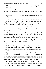"All right." Adder walked to the bed and sat on it, extending a hand to Bracken. "Come."

Bracken unbuckled his plaque belt and started to pull up his tunic. He didn't have anything underneath (as was their custom) and the play of muscles was delicious.

"What are you doing?" Adder asked when his brain grasped what was happening.

"I'm behaving. I'm getting naked so you can fuck me and be done with it."

The false light of the oil lamps made Bracken's nudity different from that of their previous encounter in bright daylight. The shadows brought angles that enhanced muscles and scars into glorious masculine beauty.

*An impressive image, similar to a wild gryphon waiting to pounce at you.*

Ha, Adder was Master of Gryphons, and he would master this man no matter what.

Adder sprang from the bed, unbuckling his belt and getting rid of his tunic in one swift movement to end up facing Bracken, chest to chest. He grabbed Bracken's ass and ground their groins together. "You aren't behaving. You're practically *ordering me* to fuck you. That's not how we play this game."

Bracken ground back and bit Adder's chin before saying, "A rigged game is not a real game. You already won, remember?"

#### *Fuck.*

The bite sent lightning throughout Adder's body, but it was true; this was a rigged game. Adder couldn't say differently without sounding like an idiot, or worse—a liar. He brushed Bracken's lips with his. "Still, let me show you how good I play."

They didn't move to the bed, but to an armless chair, where Adder sat with Bracken on his lap; both became lips, and tongues, and limbs, and pulls, and shoves, grappling like two fucking krakens mating. Bracken could say that the game was rigged and that Adder had won already, but he was giving as good as he was taking, and that excited Adder like nothing had in a long time.

"Turn around," Adder exhaled as he came out of the scuffle for air.

"Yes," Bracken hissed. As he accommodated himself on Adder's groin to tease his cock, Adder pushed him forward. Quick reflexes threw arms forward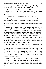to avoid landing face-first. "What the fuck?" Bracken yelped, craning his neck backward, trying to look at Adder in the awkward position.

Adder had him exactly how he wanted, as if they were in a bizarre wheelbarrow race. He pulled himself upward enough to have Bracken's round behind in the perfect position and dove between luscious cheeks, inhaling and tasting and biting.

"Oh merciful Erin," Bracken groaned as his entire body trembled.

Adder saw goose bumps erupting over the hard muscles around his face. Now, with his prey secured, he sat back and continued the assault, using lips and teeth and nose. Bracken babbled incoherently. Curses and blessings came out mixed and strangled. His body writhed, a fine coat of sweat soon covering it.

Rimming was Adder's favorite part of the bed sports, and by the few things he could grasp from Bracken's irrational discourse, he was the first to take the time to bestow it upon the Lakon. What a waste of a perfect hole. But it was time for more than rimming. Adder changed weapons, first one and then two fingers. He played Bracken's prostate like a lyre with slow, knowing motions, bringing sweet moans and grunts (his favorite melodies) out of him.

With his other hand, Adder pumped Bracken's hard and leaking cock. In perfect harmony, he milked and strummed, rubbed and tugged, pulled and pushed until Bracken climaxed with a rough clamor as if Hate and Pleasure had just had a battle inside him. And they probably had.

Bracken slithered to the floor like melting snow over rock and turned to lie on his back, he pinned Adder with his cloudless-sky eyes. "You."

Adder winked. "The bed is a better place to come down from ecstasy." He offered his hand, and Bracken took it without fussing. The midnight blue and silver bedclothes framed Bracken's strong planes and wild hair beautifully. Then he realized that his bed had been dressed with the colors of Lakoneh. "You are a marvelous sight," Adder whispered, propping his head on his elbow, both long bodies side by side.

"Thank you." Bracken nodded. "You're not bad to look at yourself."

This made Adder chuckle. He couldn't resist and touched Bracken's swollen, smiling lips. Bracken sucked the same fingers that had been inside him. Adder shivered, and it didn't escape him that Bracken knew the role of those fingers.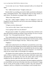"Let me take care of you," Bracken murmured softly as he released the digits.

"No." Adder shook his head. "Tonight is about you."

Bracken didn't say anything, just stared at Adder, puzzlement softening his sharp, commanding features. They remained like that for many minutes, in quiet silence. The quietness encouraged Adder's nightjars to call.

"What is that creepy noise?"

"My pets." Adder laughed. Nightjars were not indigenous to the Ten Kingdoms, but their distinctive call was for some reason soothing to Adder and helped him to sleep.

"It figures you have demon pets."

"You can be so silly, Lakon. Come, let me show you."

"You're going to show me your demons?"

This gave pause to Adder. Yes, perhaps in the future they could show each other their demons and help one another to deal with them. For now it was just the birds. "Yes." He jumped from the bed. "This way."

They walked naked to the adjacent room that was lounge and clerical space. The birdcage was practically a room in itself. Bracken moved toward it, resting his hands on the intricate designs of the bars. "What are they called?"

"Nightjars."

Adder had to admit that the view of Bracken's powerful back, narrow hips, and muscular legs with nothing but the leather thongs of his sandals (ascending thick calves) was breathtaking. Then he remembered that the previous night, while alone in his bed on the ship, the pattern of Bracken's war braids had made his hair remind Adder of the plumage of his nightjars.

The legends of the island continent, from whence his little pets had come, spoke of them as familiars to killer spirits and also called them corpse-eaters and goatsuckers. All nonsense, but wasn't the vulture rider in front of him maligned just like the night birds after what he did to Adder's ships?

Nothing in Bracken's previous skirmishes with other kingdoms marked him as a brutal defiler, but the state of the ships when they were returned to Vurgeg left his vassals and the people of Munus revolted. They had clamored for vengeance, and he as a king had to do something to calm his people down.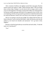After a moment of stillness, the nightjars started their song again. Bracken turned around and smiled at Adder. Maybe Bracken didn't order the things done on those ships. Perhaps it was the men he left in charge, and he wasn't aware of what happened. The things warring inside Adder, his confusing desire for Bracken and the grotesque idea that he was supposed to have of him, were overwhelming. He felt in his gut (and his gut had never failed him before) that he could trust Bracken's honor, but it was always wise to keep one's guard up.

Still, he was going to trust his gut tonight. He walked until his body was flush to Bracken's and circled the hard flanks. Adder felt Bracken melt into the embrace as he kissed one shoulder and murmured, "Let's go back to bed, Nightjar."

Bracken cocked his head sideways toward him and said calmly, "Is that the name you're giving me?"

"Yes."

\*\*\*\*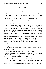#### **Chapter Five**

#### *Confusion*

<span id="page-34-0"></span>When men became Kept, they were given new names so they understood that their previous life was over. Usually those new names were something inconsequential and meaningless to assert their position in the hierarchy structure and to remind them *the King owned what the King named.*

Nine days had gone, and no one but Adder called Bracken Nightjar.

#### *And only when we are alone.*

Even Selleck still addressed him as King Bracken whenever they interacted. Since Lakoneh didn't have Kept, Bracken wasn't sure if there was a time frame for this to happen or not. Also, he had slept every night beside Adder. The King of Munus did wicked things to Bracken before falling asleep but never fucked him again after The Claiming. Moreover, it had always been about Bracken's pleasure. He had started to think this was some plot to make him beg to be fucked out of guilt. It didn't make any sense; it was Adder's right to possess him. Yet, every motion, every maneuver of any part of him over Bracken's body was designed to unhinge him, to turn him into a babbling, writhing mass of need until he erupted in shattering orgasms. Then Adder would gently coax him to sleep with soothing murmurs until darkness swallowed him.

#### *Adder.*

Always Adder, hard and leaking, but never letting Bracken take care of him. To relieve the need that was clear in Adder's eyes in the way he devoured Bracken with each glance.

At first Bracken wasn't happy with this new name, Nightjar. After all, it was the name of a creepy little bird, the kind of tiny thing one could squash with a hand if you used enough pressure. It had seemed like a way to tell Bracken he was just that—a minute, fragile thing.

Nights passed, making Bracken realize that there had to be more to it. Adder took personal care of his nocturnal pets, bringing the insects they ate, talking to them. They were so used to him that they called in his presence when every other person would make them go silent if they got too close to their cage.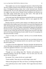These nightly stays were also changing the dynamics within the Kept Hall. The War Trophies started to look at Bracken with suspicion. A very unhealthy dose of ill-disguised jealousy shone clear in their narrowed eyes. Bracken understood this. He was still called King and had surpassed the usual one or two nights of use after arrival. Nobody invited confidences but Bracken was sure Adder simply fucked them and was done with it. This made all the confusion in his head grow bigger and wilder.

On the other hand, the Offerings fluttered around him like he was some kind of hero for retaining Adder's attentions, which in turn angered the War Trophies even more.

Bracken tried not to dwell on these things as he filled his plate with the dishes laid for their midday meal. He sat alone at one end of the long darkwood table. He had purposely waited until everybody was seated so he could choose a spot far from them. The War Trophies commanded the opposite end, glaring at him between bites and grumbling among themselves. The Offerings had done a number on one of them the previous day. Bracken knew the men at the other end were brewing something nasty; he just couldn't be sure if it was going to be directed at the kids or at him.

"You're so lucky, he's so dreamy," said Eta as he sat beside Bracken, uninvited.

Bracken had been attracted to men all his life; not even before he became the Warrior King of the Lakonians had he ever used the word "dreamy" to describe another man.

"I would say more like nightmarish." Bracken chuckled. He liked this kid. All the Offerings were pampered, court-raised lads, but this one had a sharp wit to him that appealed to Bracken's own caustic sense of humor.

"How could you say that of our king?"

"Thought you were talking about Mu," Bracken said pointing at the wickedest-looking of all the War Trophies. "You two have your very own special side-war going on."

Eta snorted, "He's a beast, but his ass is pretty tight."

"Tread carefully. These men are not silly things to play with."

"What are they going to do? They can't hurt us, we belong to King Adder."

"You could always have a fatal 'accident.' Don't anger them more than is necessary."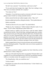The kid's face contorted. "You think they could resort to that?"

"If you push them hard enough, they might. They have nothing to lose. Their lives are already somebody else's property."

"You mean *our* lives."

"Semantics. I'm on this boat as much as everyone in this hall. I'm just not going to make it harder by creating unneeded enemies."

Selleck entered the hall and walked straight to them. "May I sit?"

Bracken nodded and eyed Eta, telling him silently, "This is polite behavior."

Selleck sat placidly.

"Would you like me to fix you a plate?" Eta asked Selleck.

"Thank you, Eta. I already ate." Selleck looked at Bracken's plate. It was empty. "If you're done, King Bracken, please follow me."

Bracken stood up, winked at Eta and went to wash his hands. Selleck awaited him by the door. They left the Kept, strolling through sunny corridors. They moved toward a part of the palace Bracken didn't know. Not that he knew much of it; he wasn't interested either. Soon, they were at the stables, where gryphons were housed. The accommodations were different from the ones the Lakonian had for their vultures, but more similar to the ones they had built for their creations the vulhurs, an alchemy-marriage of horse and vulture.

Selleck stopped them in front of several enclosures and waved his hand as a merchant offering his goodies. "King Adder wants you to choose a gryphon for your personal use."

"What?"

"He told me you haven't ridden a gryphon, but I don't think they are that different from a vulture, riding-wise."

"Does any of the other Kept have their own gryphon?" Bracken didn't want a gryphon; he was still mourning the loss of Silvercall. He had been training a vulhur as a secondary mount, but a gryphon was out of the question.

"No, King Bracken. Only you would have one."

"Is this an order?"

Puzzlement was written all over the red-haired man. "I-I don't think it was. It's a gift," he stuttered.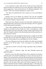It was in bad taste to refuse a gift, but this would cause more trouble than Bracken needed. He would have to say yes now and speak to Adder about it in the first opportunity. "I just wanted to be sure," he offered nonchalantly. "Any of these?" They were facing five gryphons in various colors.

"Yes. These are trained but don't have a master yet, so any could adapt to you easily."

Bracken went for the darkest one instead of the one that resembled Silvercall the most. That way if he ended up stuck with the beast it would not be a constant reminder of what he'd lost.

Many hours later, Bracken returned to the Kept Hall, exhilarated and not liking himself much. He had such a great time learning to ride "his" gryphon, he felt ashamed and beyond guilty.

"Hey, Lakon, changing colors? Now that the *Master of Gryphons* has been riding you, you think it is cute to forget your vulture. You disgust me," yelled Rho from their usual end of the table, waving a chicken leg at Bracken. The other War Trophies cackled as if the idiot had just delivered the punch line of a joke instead of an insult.

Making his way to the smorgasbord, Bracken kept a straight face. He filled his plate and sat at the head of the opposite end, not in a side of the end as usual. He started eating, his eyes unyielding over the War Trophies.

The seven Offerings moved from the middle of the table and surrounded Bracken. At his left Eta spoke, "Aren't you going to say anything, King Bracken?"

"One does not answer to the bark of dogs, especially if they are behind a fence."

"Nice," said Xi at Bracken's right. The other Offerings snorted and guffawed happily.

Bracken's end of the table finished their meal in animated conversation, while the other end seemed the gathering of a storm with many growls for thunder. They were given the concoction that slowed their bowel movements to a minimum for twelve hours. Then, they went with assistants to be prepared for the King's selection of the night. This was done to all of them because it was unknown who the King would choose until Selleck appeared at the door. Bracken had heard the War Trophies complaining about it. The King never summoned anyone, and they were submitted to this handling unnecessarily. He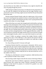also heard that now that Adder sent for Bracken every night he should be the only one going through the process.

Adder had given Selleck instructions to let Bracken do his preparations on his own after the childish fit he had thrown the first night. Bracken wasn't proud of his reaction, but being caught unawares had been the part that pissed him off the most.

Bracken prepared himself silently under the vigilant gaze of the servants that weren't touching him but needed to be there to assure that he didn't cheat; if Bracken did a number on the King because they weren't paying attention that would be all for them. Or so they thought.

When all the Kept were ready, they lounged amid colorful pillows and rugs, listening to the entertainment of the evening. The musicians from Doriar were still a bit rattled by the flight to Gryphonire but quickly composed themselves. The Kept were not permitted to drink spirits until after one had been chosen for the night. The rest could get drunk and do whatever they wanted, even indulge in sexual activities among themselves. If this happened (Bracken couldn't be sure; he had never stayed for the night with the rest), he was sure the two bands never intermingled sexually, unless it was some kind of prank on each other.

Unsure if Adder was going to summon him tonight, Bracken couldn't appreciate the antics of the Offerings as they danced and pranced with the music. This time he was truly hoping to be called so he could talk to Adder about the gryphon.

### *Yes. Keep telling yourself it's because of the gift.*

Sometimes Bracken hated his consciousness vehemently. Did he want to think about the soft caresses and the languid kisses and Adder's mouth on his cock? No. He didn't. But no other lover had ever taken the time to pleasure Bracken beyond penetration and using Bracken to find *their* pleasure. He could count with his fingers (without using all) the few that had sucked his cock in the middle of the fracas.

The thing was, after Bracken's arrival at Gryphonire, Adder had shown him a side of pleasure he didn't know existed.

Disconcerting couldn't begin to describe the actions of the King of Munus.

Beyond the usual time for Selleck's appearance, the Kept grumbled and paced because they wanted their drinks. Bracken ruminated and worried, thinking he had served his purpose; he surmised the gryphon was some ridiculous parting gift.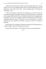Another hour passed before Selleck entered the Kept Hall with a wicked gleam in his eyes. He stopped before them, his hands behind his back and balancing on the balls of his feet. "Good evening, Kept. The King has summoned… Eta."

Twelve men looked at Bracken, all surprised for an instant. Then, the expressions changed according to the group. The Offerings were confused but soon enough started to elbow Eta, who stared at Bracken with a big apology in his green eyes. The War Trophies smirked and elbowed each other for a completely different reason. "About time, we were parched here," said Mu throwing his arms around Nu and Rho, arching an eyebrow in Bracken's direction.

Bracken didn't say anything, just kept his face blank. He'd find another way to talk to Adder. This wasn't the end of the world.

Selleck cleared his throat. "The King also wants to see King Bracken."

\*\*\*\*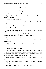# **Chapter Six**

### *Unforgiveable*

"Oh, Nightjar, you can be so silly."

They were in bed. Adder had his leg over Nightjar's groin and his head propped on his elbow.

"What else should I have thought?"

"I promise I'll never force you to do anything you don't agree with." Adder smiled.

"It didn't seem like you were giving Eta an option."

"He could have said no."

"I know Renan is your best friend and Great Counselor. But letting Eta go with him doesn't feel right."

"Today is Renan's birthday, and I asked him what he wanted. He said Eta. I told him if Eta refused there was nothing I could do about it."

"And if he had requested me?"

Adder didn't need to think about his response twice. "I would have punched him in the face."

Nightjar grimaced. "A simple 'no' would have been sufficient."

"Not for me. Renan should know better."

"Does he know something I don't?"

"Did you like your gift?" Adder changed the topic unabashedly. There were a lot of things he still couldn't answer to himself, let alone to Nightjar. Renan had told him to be careful around Nightjar, but the more Adder tried to avoid getting attached to the vulture rider the more he failed.

With narrowed eyes, Nightjar murmured, "I appreciate it, but I don't want  $it$ "

"Why not?" Adder kissed his Nightjar softly. "Selleck and the trainer said you had a great time learning to ride it."

"That I did. But you are singling me out. It will fester in the Kept Hall."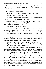"There's no reason for that. None of them was a flying rider. Rho was a narwhal rider from Gikid and Nu a rider of orcas from Busar. The others are from land kingdoms so I guess they can ride horses and the big felines."

"They can learn," Nightjar huffed.

"Don't be absurd. Flying riders are born, not taught, and you know that."

Nightjar nodded, but he seemed unconvinced.

"Don't worry about it," Adder said quietly, caressing Nightjar's cheek. "The day after tomorrow we'll go for a ride together."

Leaning onto the touch, Nightjar closed his eyes. "I'll look forward to it." When he opened them, there was something Adder had never seen before. "Please let me take care of you tonight."

A lump formed in Adder's throat. "Why?"

"I've never been a selfish person, *my King*. I think it's time I return all the pleasure you have given me. It's my duty." Nightjar said these things as he moved Adder to lie on his back by slowly pushing him toward that position. "You have been so good to me, teaching me things I didn't know were possible between men."

His Nightjar spoke of duty as he straddled Adder, but that flame in his eyes shone from a different place. Adder wanted to give more to this man, but perhaps it was time to accept some pleasure of his own. "Thanks."

Nightjar nodded and brushed his lips over Adder's. "Never thank me for something you deserve." He kissed Adder thoroughly then, his tongue roaming, conquering, disturbing every cell of Adder's body.

Should he stay still and let Nightjar continue? Adder couldn't. The urge to touch and feel Nightjar had grown steadily every night. He was at a point where the nightly hours weren't enough to be around the Lakon. Only his royal duties were keeping him from spending entire days worshiping the vulture rider. His hands found Nightjar's shoulders and surfed over hard muscles.

Humming into Adder's mouth, Nightjar broke the kiss and lapped Adder's neck, his tongue going lower, leaving fire and goose bumps in its wake. He circled one nipple, then the other, making Adder moan and pull Nightjar's saltand-pepper hair, asking for a deeper connection. His wish was granted, and as Adder's nipples became pebbles, Nightjar left them at the mercy of the mischievous breeze playing within the chamber. The cold, playful whisper over the sensitive nubs forced Adder to shiver.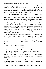Fingers and lips barely grazed Adder's chest and abdomen in a downward motion designed to make him lose control and ache. A million years later when he had closed his eyes to rein in the whipping sensations biting him, he felt Nightjar nuzzling his throbbing cock. It was an evil, dragging move, along with powerful inhaling that had Adder moaning incoherently.

Soon, but not soon enough, wet fire engulfed all his hardness. Teeth skillfully scratched his shaft. Next, came a maddening mixture of suction and bobbing until Nightjar's throat closed around his cock head. Adder boiled, both hands over Nightjar's wild mane, not pushing, just relishing the silky texture, adding more stimulation to his already overwhelmed brain.

Adder recognized the surge of his climax as he felt his entire being contracting toward the center of so much pleasure. Nightjar's saliva ran over Adder's testicles, and he snapped, yanking his cock from the glorious heat and turning them both around. Nightjar fell on his back, and Adder aimed at his mouth as rope after rope of thick semen escaped him. Amid his own spasms, Adder felt Nightjar's own spunk land on the back of his thigh and calf, and they both laughed, joyous and sated.

As the laughter subsided, Adder licked his mess from Nightjar's cheeks and chin. To his utter contentment, the Lakon pulled him in for a resounding kiss, sharing his essence with a groan that was at once desperate and satisfied.

"You taste so sweet," Nightjar offered, a massive grin brightening his handsome face. "Hope I don't need to wait another nine days to savor you again."

"That can be arranged." Adder winked.

\*\*\*\*

Morning came, and Adder sent Nightjar to the Kept Hall reluctantly. They said good-bye by the door with a soft, languid kiss; something they had never done before. Adder realized the change in their connection after the wonderful night. He watched Nightjar go with what he was sure was the sappiest grin in the world, but he didn't care; he felt goofy and happy and absolutely rejuvenated.

An hour later, Adder was about to climb onto Adroit when Selleck came into the courtyard, yelling, "My King, something horrible has happened." He looked wild and afraid.

Adder grabbed him by the arms and shook him. "What? What happened?"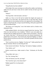"King Bracken has been stabbed."

All the light of the sunny morning was swallowed by sudden cruel darkness. Adder felt sick and close to faint, but he couldn't do that, he had to go to his Nightjar.

"Where?"

"The Kept Hall. I left the healers with him."

Adder ran. Never in his life had he loathed the length and expanse of Gryphonire as he did today. He kicked the door of the Kept Hall, and the dreadful calm of a lost situation hit him as he registered his surroundings. The healers worked frantically, trying to stop the bleeding, while palace guards held off the bewildered Kept.

"My King, we're losing him," one of the healers said in a broken voice, shaking his head.

Adder grabbed Selleck, who had just stopped beside him, heaving. "Find Timir now and send him to my chambers." Selleck's eyes were plates for a heartbeat then he nodded and took off. Adder turned to the healers. "Pick him up. Guards, help them!" All had puzzled faces but obeyed immediately. He guided them to his quarters. The moment they deposited Nightjar on Adder's bed he ordered everyone out of the room. The healers pleaded with him, but he pushed all out.

"Don't you die on me now, Nightjar. You hear me?" Adder pushed hair off the pale forehead. Blood was drenching the bed.

Timir entered with Selleck. "My King." He looked at Nightjar somberly.

"Out, Selleck, out!"

Selleck scurried away. Adder turned to Timir. "Alchemist, do The Rite now!"

"King Adder, that's just…"

"Do. The. Fucking. Rite."

"This will shorten your life, my King!"

"Do I look like I give a fuck about that?!"

Nightjar gasped for air and groaned.

"NOW!"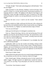"All right, all right." Timir made a placating gesture with both hands. "Give me your dagger."

Adder presented it to the alchemist. Holding it with his left hand, Timir started to swing it in a circular upward motion, murmuring incantations in a language unknown to Adder. The nightjars in the adjacent room began to call desperately; moans and sighs inundated the room. It seemed as if the light entering through the windows was moving deliberately toward the tip of the dagger.

"Remove the tunic or rip it. I need to see the wounds," Timir ordered firmly.

Serenity washed over Adder, and he got rid of the tunic with a calmness he had only felt on the battlefield amid the clank of metal and the roar of fighting men. Soon Bracken, no, Nightjar was naked and almost empty of blood.

"Give me your left hand."

Adder gave his left hand as if it belonged to somebody else.

Timir cut. "Blood of the King, a life for a life. By the blessing of Erin and Apheilon save this life with the blood of the King." He repeated these words over and over as blood dripped over the wounds. A hissing sound and steam rose with every slowly landing drop.

The nightjars called wildly in the background. It was daylight; they had never called during daylight.

Lightheaded, Adder saw how the wounds were healing, closing on their own like the shrinking petals of a flower ready to sleep. Coloring returned to Nightjar, and soon he looked just as he had earlier that day, placidly sleeping before Adder awoken him. The only proof of the nightmare was the blood on the bed and Adder's swirling vision.

Timir let go of Adder's hand.

Adder looked at his palm and saw his own wound closing and disappearing. The cut had been over his Life Line. It had lost a third of its length.

Timir chanted again. Perhaps releasing the power he had conjured into Adder's dagger. The light returned to its rightful place outside the windows. "You need to sit, my King. I'll go and prepare you some nice restorative for later."

"You do that. I have business to attend."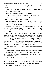The door to the chambers opened with a bang. It was Renan. "What the hell happened?"

Adder waved a hand dismissively but didn't answer. He needed all his strength for what he had to do next.

"The worst is over, Great Counselor," Timir offered.

"Renan, please stay with Bracken." Adder moved toward the door.

"Where are you going? You look like you are about to keel over." Renan tried to grab Adder, but Adder shrugged him away.

"You stay here and guard him." Adder reached the door and called, "Guards!" Two guards came running to him. He put his arms around their shoulders. "Take me to the Kept Hall."

By the time they reached the hall, Adder almost felt like himself again. He thanked the guards and told them to bring the Kept. He wasn't completely ready to stand by himself so he leaned on the edge of the long darkwood table where the Kept ate.

Relief turned into anger as the twelve men waited before him minutes later. Adder took a deep breath and focused on being a king and not an overwhelmed lover. "Who did this? I promise the culprit a swift death if he speaks on his own." He looked at each silently. "If someone else has to point him out, I will make him suffer." Remembering the wounds' pattern, Adder realized that it must have been more than one person because the stabs were on both flanks. He arched an eyebrow. "Nothing?" He grasped his chin and said softly, "I might reconsider my offer and kill all of you just to be done with this."

No man moved a muscle, but Adder saw that the Offerings were ready to crumble.

"Eta, tell me what happened!" Adder snapped at the green-eyed Offering.

The young man hesitated. He was naturally pale, but now he looked like a ghost. "Well, we were moving things from that corner over there to have a game of ball after breakfast…"

Adder tsked. "Give me the short version."

"Mu and Rho did it. Nu, Iota, and Kappa were blocking our view, but we heard a yelp and rushed to stop them." When Eta said "we" he was talking about himself and the other Offerings. They were all nodding vigorously.

"War Trophies, do you deny the Offerings' version?"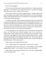The five men shrugged.

"So be it. Guards tie these men's hands and follow me." Adder turned to the Offerings. "You wait here." He called at the Overseer, who had been quietly observing from a corner. "Selleck, come with us."

They moved in silent procession through the palace. People stopped what they were doing to stare, agape. Many followed them to see what was going to happen. Adder guided them to one of the platforms where gryphons and riders were already coming and going.

"Put them on the edge," Adder ordered to the guards. Each War Trophy had two guards flanking him. Adder spoke aloud for all assembled to hear him. "Let it be known that these men committed treason by attempting to murder one of their own. Their lives belong to me, and by trying to end a life that didn't belong to them, they have injured me in more ways than one. I sentence them to die, and the execution is to be carried out immediately.

"I'm not going to say I am sad because I don't have patience for those who betray me. But these men harmed someone dear to me and that is unforgivable." Adder nodded more to himself than to those around him. "Now you pay. Guards, daggers out. One stab on each flank below the ribs." Adder heard people gasping in the background. He didn't care. This was his right, as king and as lover. The five War Trophies bled, their tunics already soaking with their filthy blood. "Throw them down."

Their screams were swallowed by the abyss.

"You," Adder pointed at a mounted rider, "check if they're dead."

The gryphon and his rider swiftly dove. A few minutes later the soldier alighted beside Adder. "Two are dead. The other three still breathe."

Adder leaned over the edge and looked down. The tide was getting high. "Good. Let them suffer."

\*\*\*\*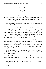## **Chapter Seven**

#### *Temptation*

"Hello."

Bracken wasn't sure why he was looking at Renan's sneaky face looming over him. He was positive ground beef felt more wholesome before being put to fire. He stared at Renan blankly; he didn't like the man. Perhaps if he didn't answer the weasel would go away.

"Do you think he recognizes me?" Renan asked a tall, wiry man who was certainly old but had been handsome at some point in his life.

"He's out of danger, but he's going to be very weak for many days."

For some reason this old man's voice seemed familiar to Bracken. Did he know this man? It would be a catastrophe if he had lost his memory but still remembered Renan of all people. But the words were truthful; Bracken's feeble state didn't let him move a single finger. He thought he had chosen not to speak to Renan, but maybe he couldn't. Still he'd wait until somebody else (someone he recognized) came along to try and say something.

Bracken moved his eyes around. This was Adder's bedchamber. Why was he in Adder's quarters with these men but without him? The last thing he remembered was eating breakfast, then Rho and Mu came from behind saying something stupid. The memory of pain struck him, hard and blinding. He moaned and closed his eyes, but his body didn't bow under the assault; he was that fragile, motionless.

The bang of a door violently opened made Bracken open his eyes. Finally, a familiar face. Adder. He pushed the two men aside and caressed Bracken's cheek. "How are you?"

"I feel weird. I can't move," his mind said, but neither his lips nor anything else moved. Bracken furrowed his brow; he scowled. No. Nothing even twitched.

Adder straightened himself. "Renan, please leave me alone with Timir for a moment."

"But…"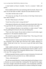A hand landed on Renan's shoulder. "Just for a moment," Adder said quietly.

Renan nodded and left the room muttering under his breath, almost in the same way he had while on Adder's ship the first time Bracken saw him.

"You didn't tell him what we did."

"Of course not, my King. No one but those of the King's blood need to know about The Rite."

*The Rite? What the fuck is The Rite?*

"Good. Now tell me what's wrong with him?"

Timir glanced at Bracken with a fatherly expression that he didn't like a bit. "You gave him life. He's practically a newborn in the body of an adult."

"Are you telling me Bracken is lost and there is a baby in there?" Adder hissed, grabbing the old man by the arms and shaking him.

"That's not what I meant. He just needs to relearn to use his body, regain command of it. He should be mentally sound."

This seemed to appease Adder. He released Timir. "How long will it take for him to be back to normal?"

"The more physical a person is the quicker he bounces back." Timir moved out of Bracken's line of sight, then came back with a goblet, offering it to Adder. "Drink half of this, sire. You can try to give the other half to King Bracken."

Adder nodded and drank. He turned and sat on the bed, putting his hand behind Bracken to pull him upward. What Bracken found in Adder's eyes as they met made him weaker for a completely different reason. "Come now, just a few sips. This is going to help you."

Nothing responded. Bracken wanted to scream in frustration. He tried to tell Adder with his eyes how powerless he was. Adder understood.

"Timir, a little help here?"

The old man opened Bracken's mouth using thumb and forefinger to force it. Bracken was sure he looked like a fucking fish. The liquid hit his tongue. Fire wasn't enough to describe the sensation. As he involuntarily swallowed, the scorching kicks and pokes unknotted the weakness holding him hostage.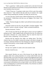"That's a good boy." Adder put him carefully back on the bed. He kissed Bracken on the forehead. He stayed there, his lips pressed to Bracken's skin for more heartbeats than necessary.

"I think I'll go now. I'm going to make more of this to give him another dose tomorrow," Timir offered with that odd tone of someone who caught another doing something they shouldn't be doing. He moved away.

As soon as the door clicked closed, Adder brushed his lips over Bracken's. He murmured, "I killed those who hurt you, my Nightjar. All of them." His voice trembled.

"Adder," Bracken thought, but Adder's jerk told him he had actually said it albeit feebly.

Smooches rained over his face. His and Adder's chuckles mingled. "That old sucker's potion is already working!" Adder exclaimed breathlessly.

Bracken murmured, "Sucker."

"Oh, I'll suck you until my jaw falls apart as soon as you are capable of pulling my hair!" Adder laughed loudly and heartily this time. He sobered up and stared at Bracken for a long moment. Then he rested his head over Bracken's heart, whispering, "It was all worth it."

Bracken had the suspicion that Adder was talking about "The Rite," whatever that was. He couldn't summon the energy to ask about it though. He was sleepy. Someone told him once that sleeping was a big part of healing. He wanted to heal quickly, at least enough to pull Adder's hair.

*That's a nice goal.*

His lips were capable of a smile as the room started to fade.

Bracken closed his eyes.

\*\*\*\*

Days passed. Bracken was sure of this because he saw light, then the nightjars called. Also a plump chatterbox of a woman called Zenith came and flexed his limbs. Every joint of his body was bent and straightened many times, thrice during daylight and twice while the nightjars called. Bracken thought that if he didn't say anything she would shut up, because normal people didn't have conversations with themselves for so long. It didn't work. Still, her continuous work was helping him to wrestle back his mobility. Soon, Bracken was able to go and relieve himself on his own.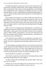The Offerings stopped by, mostly just to check on him, but Eta, Phi, and Xi stayed longer, sometimes reading for him, others singing or telling him jokes. They were good kids. Selleck came too; he brought Bracken sweets and finger food—things Bracken wasn't supposed to be eating because he was on a strict liquid diet thanks to Timir, something Bracken thought incredibly stupid. He was sure nobody could get stronger with just liquids. Even if those liquids were magic potions.

Renan popped in now and then to say "Hello," but Bracken closed his eyes, pretending to be asleep. Nobody questioned this because he slept a lot. He didn't like Renan no matter how much Adder loved him. Bracken's gut told him Renan wasn't trustworthy. Nine out of ten times, Bracken's gut was right, so he was going to listen to it until Renan did something capable of changing Bracken's mind.

Adder was the true constant presence during Bracken's recuperation. He told Bracken stories of his childhood. They shared how much they missed their older brothers. Adder spoke as well of his plans for Deron, how he wanted the people of Munus healthy and prosperous, and many other things grand and little. These moments made it difficult to keep his distance, to be bound to his station by his honor and nothing else.

Each instant they spent together was accompanied by a passing touch, a caress, a timid kiss on the lips. It both moved and frustrated Bracken in equal manner. He wasn't a fragile thing to be treated like a delicate vase or worse—a flower.

The other thing that was getting on Bracken's nerves (in more ways than he cared to analyze) was Adder sleeping on a chair next to the bed. Bracken could understand the first few days. He wasn't truly keeping track of time but he calculated it had been around two weeks. Before long, Adder's body would resent the awkward position. Bracken was already resenting it for him.

Bracken decided he was going to say something.

After Zenith's second massacre of his body for the evening, Bracken waited until Adder finished taking care of the nightjars.

As Adder settled on the uncomfortable chair, Bracken asked, "Why don't you come to your bed?"

"Because you are not well enough yet for my touch the way I want. I will not be able to keep my hands to myself if I'm there with you."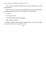"I'm a warrior, remember? Perhaps what I need to heal quicker is some rough handling…"

"Don't tempt me, you fool. I'm not going to destroy all Timir's and Zenith's work thanks to my lack of self-control where you are concerned."

"Coward."

"You'll pay for that."

"I will welcome the punishment gladly."

Adder arched an eyebrow.

Bracken crooked his index finger at Adder playfully. "For the time being, you can come closer. So I can pull your hair."

\*\*\*\*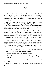# **Chapter Eight**

#### *Trust*

Adder noticed he and Adroit had the same happy spring as a groom brought her. He chuckled. Timir and the healers had concluded that his Nightjar was fit to leave the bed and start moving around in a more regular fashion. The morning was sunny and almost cloudless, just like the eyes of the man he had left on his bed.

Bubbly would be an understatement to describe Adder's mood. The thought of sending Renan to handle the daily dealings of the Royal Court and take the day off was a tempting, pleasant one. Still, Adder decided to go to the city palace for a couple of hours and come back after the midday meal to give Nightjar some time alone to do whatever he wanted.

After a lot of internal negotiation, Adder had made two decisions. First, he was going to disband the Kept; there was no rule saying he must have one— Lakoneh didn't even have one. Second, he was going to find a way to talk to Nightjar about the stolen ships and the macabre spectacle on them when they were returned to Vurgeg. There must be an explanation, and he wanted to clear that out before the next part of his second decision could come to fruition. As Adder was getting ready to climb Adroit, he saw a groom bringing Renan's gryphon, Soulfire. They could make the flight to the city palace together. It wasn't easy to have a conversation while flying, and they would be surrounded by their escorts, but they could start one as soon as they dismounted. Adder was really excited to share his plans with his best friend and counselor.

"Morning, my King. That goofy grin is very becoming." Renan chuckled.

"You don't know the half of it." Adder smiled broadly.

"Something tells me Bracken has a lot to do with it."

Adder nodded, gesturing Renan to mount Soulfire quickly. They did it simultaneously.

"You look like you need a race," Renan offered with a smirk when both were seated.

"Splendid idea. After that, we'll have a nice chat before the hearings of the day."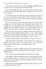"Winner gets to choose lunch. Up!" Renan challenged, whipping the reins of Soulfire. The tawny gryphon launched himself upward.

"Hey!" Adder laughed and yelled, "Up!" Now he had to win because when Renan did he always picked something nasty that Adder would not enjoy, just to be an asshole.

The roads, the farms, the people, the animals, the plains, the valleys, all were a blur as the gryphons raced toward Varvarar, the capital city of Munus. They did the hour ride in less than thirty minutes, their escorts following closely as if they were racing too.

Within the fortified city, Soulfire and Adroit glided over tall, whitewashed buildings, their red dome-shaped roofs shining like rubies thanks to the morning light. Only the temples of Erin and Apheilon and the palace had triangular roofs to distinguish them from other constructions inside the city walls. But all roofs were red—red like the strong blood of Adder's people.

Adroit nose-dove and reached the landing courtyard of the palace two seconds before Soulfire alighted roughly beside her. "I won!" Adder laughed and dismounted with an agile jump, pumping his fist in the air. He turned to grab Adroit's head and gave her a resounding kiss. "That's my girl."

Renan dismounted more gracefully and bowed. "A worthy victory, sire."

Adder punched him on the shoulder. "You only call me 'sire' when you are pissed off. It was just a silly race. You know I had to win to avoid some disgusting dish made of entrails or only-Apheilon-knows-what."

"Of course."

"Oh, don't be a sourpuss." Adder embraced his best friend with one arm and guided him toward the main building of the palace complex. "I decided to disband the Kept."

"What?" Renan faltered, jostling Adder. "Why would you do that?"

"Not a big deal." Adder pushed Renan since they were shoulder to shoulder. "It's an outdated institution. It's not like I have any use for them after all." He nodded to some court members walking in the opposite direction. "And after what happened to Bracken…"

Renan stopped them and dislodged himself from Adder's embrace. "So this is about him." He stared at Adder.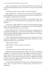"Nah. It's not *about* him. I was considering it before he arrived. The attempt on his life just reinforced my decision." He winked. "I have no use for a harem, Renan."

"The Kept is not only a harem, Adder. It's a symbol of power."

Adder rolled his eyes. "To whom? We are the most powerful kingdom of the Ten Kingdoms. No one on land or sea has our resources or military force." He shrugged. "Lakoneh doesn't have Kept."

"And it all circles back to the Lakon anyway." Renan shook his head. "You know they don't have it because they don't leave people alive to make them prisoners."

"I know that." Adder nodded. He refused to let Renan deflate his happy mood. "Ah, we'll find another way to scare the fuck out of the other kingdoms without that old-fashioned practice." He winked.

Renan crossed his arms. "All right, let's accept for a moment that you disband the Kept. Right now you don't have War Trophies, except Bracken, so you don't need to make them captains of garrisons or whatever. You still have seven Offerings. What about them?"

"Trifle." Adder dismissed the situation with a wave of his hand. "We can make them ambassadors or something else like before. Selleck knows them better than anyone, so he can see to that."

"What about the Lakon?"

Adder grinned. "I want to make him my consort."

"Your what?!"

"You know, the man you marry and who rules with you."

Shaking his head, Renan pinched the bridge of his nose with thumb and forefinger. "I've known you since we were toddlers. You have never been a man to think with your cock. What is this nonsense?" He put his hand on Adder's arm. "You can have any man in the world," he squeezed and cocked his head, "and you're going to choose that monster." Renan's eyes had a strange, almost watery glint to them.

"I need to find out what happened with the ships," Adder patted his friend's cheek, "but I am sure he's not a monster, Renan. There must be an explanation."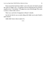Renan moved his hand from Adder's arm to his neck; his thumb caressed the corner of Adder's jaw. "I'm going to trust my King because my *friend* is stupidly in love." He smirked. "I'll support my crazy friend though. If he wants to marry a vulture rider so be it."

There was a sad echo of resignation in Renan's chuckle.

Just the fact that he was so easily siding with Adder was in and of itself a quasi-miracle.

Adder didn't know what to make of it.

\*\*\*\*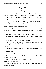# **Chapter Nine**

### *Trickery*

"I'm going to miss these pink walls." Eta sighed. He and Bracken sat together, finishing the last meal that would ever be served in the Kept Hall.

"I never understood that color. Or the red columns," Bracken commented, looking at the now almost empty large space.

"Have you ever witnessed a naval massacre? The water ends up pink. That's the meaning of it—to remind us of the power of Munus."

"And here I thought it was the color of our assholes after a powerful battering," Bracken offered with a straight face.

Eta spewed his wine and coughed. Bracken dutifully pounded the boy's back to help him. After recovering, Eta murmured, "I'm also going to miss that nasty sense of humor."

Bracken ruffled dark blond curls. "You will be missed too, little friend."

Redness reached Eta's pale cheeks; he looked up from under long, golden lashes.

Selleck entered the hall, his gait brisk toward them.

"I guess it's time." Eta peered at him with those bright green eyes. "Are you scared, King Bracken?" he asked softly.

*Am I?*

With the Kept disbanded, what was Bracken's place in Gryphonire? In Adder's life? "There is a reason for everything, even if we cannot fathom that reason immediately."

Eta arched an eyebrow.

Chuckling, Bracken shook his head. "Not scared. More like mildly concerned." He grinned.

With a nod, Eta stood up. Solemn didn't look right in his usually happy, almost-too-pretty, oval face.

Selleck bowed. "King Bracken." After Bracken acknowledged him, he turned to Eta. "Ready?"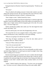Putting his hand over Bracken's hand, Eta inquired quietly, "Would you see me off?"

"Of course."

They all walked to the landing courtyard. A burly rider waited to carry Eta, along with a group of escorts. He was expected at the Court of Nivoril, where he had been appointed assistant to Munus's Ambassador there.

"Don't forget to write." Selleck kissed Eta's brow.

Eta and Bracken hugged, then Bracken helped him to climb the night-dark gryphon. Sweet Eta looked fragile in front of the soldier as he settled down, his yellow tunic in high contrast with the burgundy garb of the rider. He waved shyly. "I'll never forget you."

Selleck and Bracken nodded, their smiles sad. The rider dipped his head courtly and yelled, "Up!"

Soon Eta and his party were mere dots disappearing to the east.

"We moved the last of your assigned clothes to King Adder's quarters," Selleck told Bracken as they walked back to the main building.

"What are you going to do with the Kept Hall?"

"The king will figure something out. It has the only indoor pool of Gryphonire after all." Selleck winked.

"And you? What would you do now?"

"I am to be your personal aide."

"My what? Why would I need that?" Bracken burst.

"Well, you need someone to take care of you and handle your daily routine and other things. Right now we need to get you ready for tonight's feast. King Adder is taking you to Varvarar."

Bracken learned long ago to not blush. He wasn't a maiden. But the thought of being carried by Adder, just like Eta some minutes ago or when he came to Gryphonire left a pleasant tingle all over his body. Sixty-nining with Adder and finishing in each other's mouths earlier today certainly fueled a lot of that tingling.

"Ahem." Selleck looked at him sideways. "You have your own gryphon now. You know you aren't riding with the King in the same saddle, right?"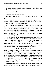"I know."

"Then erase that sappy grin off your face. It doesn't go well with your usual brooding-warrior demeanor."

"I don't like cheeky aides."

"It's a good thing you didn't hire me."

Bracken narrowed his eyes and snorted. Selleck would be a worthy opponent.

Many hours later, after much scrubbing and perfuming and wardrobe changing, Bracken sat beside Adder in the Great Hall of the Varvarar Palace. The immense table had forty seats, all occupied.

Two princes and representatives of the other four Ocean Kingdoms and Vurgeg had come to pay their respects to Bracken, as the person seated at Adder's right (in the place of honor), not as the former King of Lakoneh. They acted with deference, but there was a certain hesitation that spoke of badly disguised uneasiness. Part of their discomfort had cause. There was no precedent for what Adder was doing. No one had ever seen a War Trophy seated beside his king in a formal reception.

It was the custom in the Ten Kingdoms to not put a chair at the right of the King commanding the table if he didn't have a wife, a consort, or was a widower. Adder had placed Bracken as if he were his betrothed, his consort-tobe because everybody knew Adder was not married yet. The fact that he was dressed mostly in white didn't help much; even his overtunic with its royal blue trimmings was white like a summer cloud. Myriad thoughts assaulted Bracken as he tried not to divine Adder's reasoning for this unusual action.

Bracken surreptitiously glanced at the king beside him. Adder wore the burgundy and gold colors of Munus. Thick gold bracelets and rings adorned him. His hair, with its hints of silver, was windswept as if he had just alighted from his gryphon. Dark eyes competed with the three black diamonds on his crown, but diamonds didn't glint with merriment or pride, nor had they laugh lines around them. Adder's lips were perdition; even his square jaw had done wicked things to Bracken's body. He wanted to hope, but there was no reason for hope. There was no logic in hope; he was a War Trophy, a mere toy. A toy should neither hope nor wish.

Something caught Bracken's attention, one of the servants pouring wine across the table. His coloring was wrong; the beard was missing, but he knew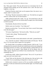him. Their gazes locked. The man did several eye movements that for the untrained meant nothing, but for the Lakonian were a code. The man was a Lightfeet, a royal spy.

Perplexed, Bracken asked what was his purpose there; the answer was a simply coded "we need to talk."

"My King," Bracken murmured in Adder's ear, "the lamb has not agreed with me. I need to take care of some business."

Adder patted his hand with a smile. "Go, go." He turned back to the old representative of Kaskal who was reminiscing of younger years when learning to ride his narwhal.

Nonchalantly, Bracken left the Great Hall.

Selleck came out of nowhere. "Can I help you?"

Bracken scowled at him. "You are lucky I don't have a sword. Never jump at me like that again."

"Of course, King Bracken." He bowed swiftly. "What do you need?"

"I need to take a dump," Bracken growled.

"The pheasant?"

"Or any of the other twenty dead animals on the table," grunted Bracken.

"Aw, come this way please." Selleck moved aside to let him pass. "By the way, it's in very poor taste to speak ill of your guests."

The chuckle didn't do anything to mollify Bracken. Still he said, "I was talking about the seasoned, minced, and cooked beasts not the ones eating them and talking nonsense over them." He stopped abruptly, pulling Selleck by the arm. "Did you say my guests? Those people are not my guests, they are Adder's guests." Bracken was in Selleck's face a heartbeat later. "Do you know something I don't?"

Swallowing visibly, Selleck shook his head. "Not at all. I'm just here to make sure your every need is met."

"Good. Point out the direction of the relieving area, then go back to the Great Hall. Or are you planning on being there to wipe my ass too?"

Selleck took a moment to answer as if he was actually considering it. He grimaced. "In the next intersection turn left and then right. You'll find it easily enough."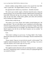Bracken nodded, turning Selleck around to face toward the Great Hall. "That's a good aide." He slapped Selleck on the ass. "Off you go."

His appointed aide walked away, head down—shoulders hunched.

The need to pee actually surged, so Bracken found the place, doing his business quickly. He was expecting to find the Lightfeet before returning to the Great Hall. Effectively the spy was carrying a tray, laden with dirty dishes. They ran into each other. Golden plates, goblets, and cutlery did cartwheels before landing with ringing crashes.

Bracken knelt to help the spy.

"Oh, master, I'm so sorry. Please, don't bother yourself helping me," the man said aloud. "The war with Munus wasn't retaliation for the stolen ships. Someone massacred the sailors on the ships we returned to Vurgeg. They think it was us and Munus had to act accordingly. The whole thing was a setup. Lord Idared suspects even the fire on the Royal Granaries was no accident," he whispered quickly.

### *Fuck.*

"Well, there's nothing we can do now. I'm King Adder's War Trophy. Idared and Laelia must rule until Fern is old enough," Bracken exhaled between his teeth.

"Please, master. I beg you. Let me do this by myself. I will be lashed!" The Lightfeet implored dramatically, then hissed, "Sorry, my King. I was sent to scout the situation. We'll come to get you very soon."

"Lakoneh can't do that. It's dishonorable."

The Lightfeet looked at Bracken in the eye, breaking character—putting his life at risk. "King Bracken, there's no honor in what you're going through if the war started by trickery."

\*\*\*\*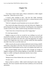# **Chapter Ten**

#### *Goal*

"You future consort seems upset," Renan commented as Adder stepped beside him. "What did you do to him?"

"I haven't done anything to him." And that had Adder absolutely exasperated. "We sleep in the same bed, but there's a tension between us that wasn't there before. Not even upon his arrival."

"Well, he's taking his sexual frustration out on your poor soldiers."

They stood on the edge of the practice yard, and, effectively, Nightjar was pulverizing the men trying to train with him. Good thing they were using blunt wooden swords; if not, Adder would be facing a decimation of his forces.

"I don't know how to broach the issue of the Vurgeg ships."

*Or a marriage proposal.*

Nightjar swung one of the two swords he was wielding in an arch and smacked the shoulder of a soldier with the flat part. The man was almost flung by the impact and rolled in the sand with a yelp. His (apparently very angry) consort-to-be fought three men at once, and they looked like baby gryphons who didn't know how to use their talons yet.

Adder winced as the second sword descended and veered, slicing a midriff, followed by a sharp elbow to the chest. The man was lucky those were practice weapons, but he'd still be plenty sore for a day or two thanks to the Lakon's ire.

They watched Nightjar mince two more triads. Enough was enough. If Nightjar could get rid of his irritation fighting, so could Adder. He crooked his finger at a soldier watching the unfortunate matches close to them.

"Yes, my King?"

"Bring me one of those helmets that cover most of the face."

"At once, sire."

Renan arched an eyebrow. Adder started removing his many rings and bracelets. The Great Counselor shook his head wordlessly as he received the adornments.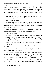The early afternoon was hot, and the men practicing were all in just loincloths and sandals. Renan and Adder were bare chested, only wearing light leather skirts with plated belts. Adder didn't have a loincloth underneath so when the soldier came back with the helmet he ordered the man to give him his. Without hesitation the man took it off while Adder made quick work of his own covering.

"Your sandals are different," Renan pointed out. The leather in theirs was thicker and laced up to the knees; the soldiers' were ankle high.

"Shit. Soldier, your sandals."

The soldier chuckled and removed his footwear. Under any other circumstance the other men would have been whistling and catcalling, but all understood pretty quickly Adder's intention, so they kept quiet to not attract attention to their area.

By the time Adder looked like any other man in the yard, Nightjar did a high kick, knocking a tooth from one of the men fighting him.

"Ouch," hissed Renan.

Practice swords were handed to Adder, and he jogged toward Nightjar, who was on the sand holding the man he had knocked along with his tooth. The four were laughing, and Nightjar was patting the soldier's head and apologizing. Adder stood in front of them.

Nightjar looked up and waved his hand. "I'm done for the day, soldier."

Adder shook his head. He moved to a fighting stance and jerked his head, challenging.

"Did you see what I did to your comrades?" But Nightjar went to his feet, picking up his helmet from the sand.

First a shrug, then Adder challenged Nightjar again. The thought of flapping his elbows like a chicken crossed his mind, but that would be too much. Right now he was somewhat safe if Nightjar had decided to quit the practice already; the chicken bit would just land him in a whole lot of extra trouble.

Nightjar did an odd move with one foot tapping his sword, and the flick made the sword jump to his hand. He did the same strange motion with the other. Now he had both swords in his hands.

*Wow, I must learn to do that.*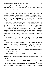Spinning his swords like a fire dancer, Nightjar circled Adder. He moved with a grace that hadn't been there when he was practicing with the other men. And he was waiting for Adder to attack first.

#### *So be it.*

Adder advanced with his swords at an angle, one higher than the other, and swung as if aiming with the right, but he was actually preparing to work the left counterclockwise. But Nightjar saw the ruse and deflected both contradicting swings. The dry thud of wood colliding was almost anticlimactic. Adder should be fighting his Nightjar with metal, blood should be claimed.

Thrust. Parry. Swing. Parry. Chop. Parry. Adder was working up a sweat, and the flying sand clung to his skin. His cock grew harder with each arch, with every swirl and spin, with any contact of their bodies. But Nightjar was silent. He wasn't grunting or yelling like he had with the others. And this enraged Adder. He attacked, and he was deflected once, twice, thrice. His Nightjar was toying with him. Then Adder realized he had been almost as quiet so the Lakon didn't recognize his voice; every noise had come from him without opening his mouth. His father had taught him this technique because it irritated the opponents and they would surely lose focus.

The Lakon was doing to Adder exactly the same thing he had been doing unconsciously. He did it to conceal his identity, and Nightjar did it to fuck with him.

That second of realization cost him. Before he could dodge, Nightjar grabbed him by the small of his back and pulled their bodies together, their hard-ons rubbed roughly. Their helmets clanged with the impact as Nightjar headbutted him.

"You're going down, bold one," Nightjar growled when their eyes met just a few inches between them.

Adder pushed and used the minimal space to bring his knee up. A swift sidle and his partner's groin was out of harm's way, but Nightjar used the momentum to grab the back of Adder's knee and yanked, making him lose his footing.

Nightjar landed heavily on top of Adder, knocking the wind out of him. Pure instinct made Adder use the hilt of his left sword to stab at Nightjar's side. They rolled; the impacts of his helmet on the sandy ground were dizzying Adder. Still, adrenaline ruled, and in the split second he was on top he sprang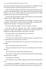backward, gained his footing and both swords ended up over Nightjar's throat with a hasty movement. It hadn't been graceful, but it was over.

With a soft thump, Nightjar's head rested on the sand; he flung his swords to the side, conceding the match. He lay there sprawled, heaving, and his long delicious cock was so visible through the sweaty loincloth that all Adder wanted to do was sink to his knees and worship it.

The men cheered around them. Adder took the helmet off, and the soldiers started to chant, "Adder! Adder! Adder!"

Renan came to them and offered his hand to Nightjar. The Lakon took it reluctantly. The moment he was on his feet, he gave Adder a withering scowl, saying between his teeth, "I'm going to get cleaned up."

The Great Counselor whistled. "You are in trouble, my King."

Two hours and one realization later (after searching throughout Gryphonire), Adder found Nightjar swimming in the Kept Hall pool. He stomped to the edge and stood there with his fists on his hips.

The former King of Lakoneh took his time to reach him.

"You knew it was I, didn't you."

"Of course. How could you think I wouldn't recognize your body, the way you smell when you sweat, the way you move?"

The frank leer made Adder shiver, but what came of his mouth was "You cheated!"

"How the fuck did I cheat when you won?"

"Because you had me and you let me win to not embarrass me in front of my men."

"Do I look like I give a fuck about embarrassing you?"

"No, you don't. That's why you stole my ships and then sent that macabre spectacle back to Vurgeg!"

"My people were starving!"

"You could have come to Munus asking for help instead of stealing from me!"

"We did and you rebuffed us. Fucker, you even killed two of my three emissaries! After that nobody would help us because they were afraid of you."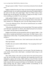This gave pause to Adder. "I haven't received any emissaries from Lakoneh ever."

Nightjar climbed from the pool. Water ran from his long hair and along his magnificent body, his wet nudity perturbingly distracting. He stabbed Adder in the center of the chest with a hard finger. "Don't lie. What's done is done. Besides what was the big deal? The tribute of Vurgeg was ten ships. It wasn't even something you needed. *We* were starving."

Adder grabbed Nightjar's wrist. "One of us is lying, and it is not me." He pulled their bodies together with his arm circling the Lakon's lower back, his tunic instantly wet. Although that wasn't the only thing wetting in his body.

"I'm no liar, Beloved of Erin. This shit fest started because you wouldn't help my starving people."

"What about the defiled bodies on the returned ships? The reports said they were half eaten, apparently by vultures, then shitted and peed on by humans. You couldn't just give them an honorable death."

Nightjar narrowed his eyes but ground his solid cock against Adder's. "We took what we needed and told them to return home. We didn't harm or kill a single person on those ships. You probably did that to have a fucking excuse to invade us."

"You should know better by now. I don't need excuses to do what I want."

Their lips brushed.

Cloudless-sky eyes stared at Adder defiantly. "Are you going to fuck me?"

"You deserve it."

"Then get that damn tunic off and do it."

The tunic wasn't gently removed; it was torn apart. The only foreplay was cruel mouths, furious teeth, rabid hands—overheated bodies lying on cold marble floor.

They rolled, almost in the same way they had on the sand of the practice yard, but now the fight was also exploration and conquering, discovery and subjugation, urgency and craving. Adder ended up on top, his body covering Nightjar's. He held both wrists above the salt-and-pepper moist curls with one hand, using the other to prop powerful legs over his shoulders. He scooped the fluids pouring from the Lakon's leaking member (accumulating on his abdomen) and used them as lubrication.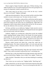Moans surged as fingers breached a tight space. Without missing a beat, Adder brushed his own cock and the liquid proof of his need, grazing the rosy entrance he desperately wanted to pound and own.

"How many times do you have to win to fuck me the way a warrior deserves to be fucked?" Nightjar challenged.

Adder growled and pushed in. Their eyes locked, and the words that Adder needed to scream in that instant were "be mine, be mine, be mine."

Nightjar's body accepted him, embraced him, and the heat and the squeeze were glorious, sublime. Nothing like The Claiming on his ship, that forceful proof of his ruling over the Lakon; this was something else. Adder didn't see resignation or duty in those almost colorless lakes; he saw fire. He saw power. He saw the reflection of his own desire, and he hoped.

He thrust, and there was no deflection; Nightjar's body moved to receive him, not in confrontation but in a blissful welcoming that became more agitated and vocal and sweaty with each collision.

Suddenly, Nightjar was wrestling him, rolling them around. He straddled Adder, impaling himself, taking control of the assault. He rocked, gyrated, commanded. His eyes and hair were wild, unnatural, and Adder pulled him down, to kiss, to devour each other's mouths—because he was close to his destruction, and he wanted his Nightjar to swallow his cry of completion.

Pleasure rushed forward and shook him, wrung him, made him an exploding fountain. The Lakon swallowed Adder's cry as he came and came and came, wanting to shout a thousand promises that were wrong for this violent moment.

Nightjar's climax followed quickly. Rope after rope of pearly seed coated Adder's chest, and he reverently swallowed his lover's convulsing cries.

Moments later, as they descended from the high mountain where their bed sports race had led them, Nightjar, close to Adder's face, sighed, "Thank you."

Adder chuckled. "Remember what you said about thanking for something one deserves."

"Don't throw my own words at me," Nightjar huffed. "Bad King, bad."

Adder realized this was the first time he had fucked inside the Kept Hall, and he had a moment of inspiration. "You are not leaving this hall until I've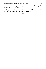made you come as many times as you said the word fuck or any of its inflections within the last hour."

Rising his head, Nightjar looked at him seriously; still his eyes were full of mischief. "Then you have six orgasms to go, my King."

\*\*\*\*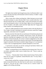# **Chapter Eleven**

#### *Linchpin*

The light in the chamber had changed many times, but Bracken didn't want to leave the bed. His body still thrummed with the memory of Adder's rough hands over his body.

After so many days without touching him, Adder had gone not just inside his body but deeper to a place Bracken didn't know existed within him. True, Bracken had been the one avoiding Adder, acting cold and distant, but Adder never forced himself on him. It was the King's right to do as he pleased with his War Trophies; still Adder waited until their fight about the Vurgeg ships broke whatever was holding him back.

What was Adder planning? So far he seemed content with only Bracken as War Trophy. He hadn't demanded of Lakoneh to become vassals like Vurgeg. Apparently, annexation wasn't his agenda.

Bracken stretched. His body felt sore and bruised. He had been pleased and sated, utterly conquered and worshiped. And because of that, the thousand questions (snarling and snapping at each other in his head) seemed wrong, illogical. Uncharacteristically, his warrior's instincts nudged him to relax after the sexual combat, while his brain stayed in total turmoil. His head ignored the languid commands of his body; he needed to figure things out. It was important to know what was happening before Lakoneh attempted to rescue him.

A soft knock on the door was all the warning he had before Selleck and Prince Deron entered the bedchamber.

"Hello!" exclaimed Deron as he climbed onto the immense bed. The sea of rich fabrics and pillows didn't seem to bother him at all. "Time to wake up, King Bracken!"

"I'm not a…" Bracken didn't finish. Selleck shook his head. The boy didn't know his true status in Gryphonire. Instead Bracken said, "I'm lazy today. I wanna stay in bed."

Deron finally reached him, starting to tickle him at once. It was Bracken's fault; he had told the Prince the other day he could come to visit whenever he felt like it. "Get up! Get up! I came to invite you to a warrior's meal!" he giggled, still tickling and poking.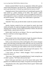Bracken searched Selleck's face for an explanation; Selleck did a gesture with his hand indicating to "go with the flow." Bracken poked Deron back. "I need to get dressed then. Or should I go naked like the warriors of old?"

Stopping his attack, Deron looked at him as if considering his question. His head cocked in a perfect imitation of his father. This caused a sudden contraction on Bracken's chest; he didn't want to investigate the reason for it. Deron appeared to come to a resolution. He loosened the scrunch on his face and uttered solemnly, "We're flying. I don't think naked is a good idea."

"Dressed it is then"

"Splendid," Deron said, just like his father would. He crawled to leave the bed.

Quickly, Bracken washed his face and cleaned his mouth, then found clothes and sandals. He could see throughout all these motions that Deron was vibrating with excitement. The boy talked animatedly to Selleck. His aide only nodded silently, a placid smile on his face.

Selleck didn't look like he was faking it. That was a good thing because Bracken would have not been happy otherwise.

"I'm ready."

Deron turned to look at him and started to laugh. He pointed at Bracken. "Your head looks like one of those felines they ride in Sulfus."

Sulfus was the northernmost of the Land Kingdoms. Her warriors rode giant felines with wild manes around their heads when they were not covered with armor. Bracken roared like one of those enormous cats; he turned his hands into clawed paws. "I heard they give little children to their mounts for breakfast."

Dark big eyes startled for an instant, then narrowed with suspicion. "I've never heard that." He turned to Selleck. "Is this true?"

"I don't know, my Prince." Selleck shrugged. "You've traveled more extensively than me."

"*That* is true," Deron agreed. He grabbed Bracken's hand, towing him out of Adder's quarters. "We'll deal with your hair later."

Deron's brisk pace took them to one of the terraces fairly quick. Their gryphons were saddled and ready to depart. Ten guards were leaving with them.

"King Bracken, this is Allu, captain of Prince Deron's guard." Selleck made the introductions.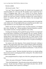Bracken nodded.

Allu bowed courtly. "Sire."

"Let's go!" Deron clapped his hands. He climbed onto his gryphon with surprising agility for a five-year-old. His gryphon wasn't normal size but it wasn't a youngling either. Still, it was a perfect fit for Deron. Bracken wondered if Munus's alchemists had kept it on the short side for the prince's benefit; he'd had never heard of miniature gryphons like certain breeds of horses. In Lakoneh, riders grew with their vultures; that encouraged their connection.

Thunderstrike, Bracken's gryphon, made mewling sounds as he patted the wide, feathery neck. He had neglected the poor animal because he didn't want to get attached to it; not if his people were coming for him.

Selleck was the last to climb his mount. In perfect harmony, all whipped their reins, shouting "up." Thirteen gryphons launched themselves upward. They headed westward, crossing Gryphonire's bay swiftly.

Twirling and whooping, Deron guided the group. Bracken was impressed by the little prince's dominion over his gryphon. He was a natural. Would a child of his be this dexterous? Bracken had never thought about children, but seeing Deron's skill tempted him with the idea of a small version of him whooping on his own vulture. Gods, Bracken missed Silvercall. She was gone; no amount of wishful thinking could bring her back. No point in dwelling on this bout of sadness.

Ten minutes after their departure, Deron pointed downward, winking at Bracken. They approached a plain where a squad of Munus soldiers had already made camp. Bracken hadn't seen any garrisons close by. The group alighted; Deron jumped from his gryphon and rushed toward Bracken. "Come, the food must be ready!"

"Slow down, warrior." Bracken chuckled, but the boy was already pulling him toward a massive roasting pig and other cooking fires. The soldiers bowed at them as they passed.

Deron plopped himself on a log by one of the fires, patting the space beside him.

"What's the name of this place?" Bracken asked Deron.

"This is the Pepbod plain." Deron became serious and continued as if giving a lecture. "In the early days of Munus a great battle took place here, and the first king of Munus came to power by winning it."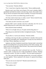"Your ancestor," Bracken offered.

"Yes. I come from a long line of great rulers." Deron nodded proudly.

Bracken wasn't sure if they were all great. If he wasn't mistaken Adder's grandfather had killed his brother to become king. Surely, Deron didn't know this yet, but he was bound to learn about it someday. It was part of his history.

"I'm sure you will be an excellent king yourself one day."

"For that I need to know how to wield a sword." Deron twisted his lips. "Abba says I have to wait until I'm seven."

"You mean you don't even have a toy sword?"

Bracken didn't want to intrude in the boy's education, but if he was so skillful flying surely he could wield a little wooden sword.

Deron shook his head wordlessly.

"Well, if it is all right with you, I'll speak with the King about it."

Those big eyes (so dark like his father's) brightened instantly. "Would you do that?"

"If you allow it, I can be your emissary." Bracken smiled.

Climbing on the log to be able to reach Bracken's shoulder, Deron put his tiny hand on it and regally said, "King Bracken, I accept you as my emissary to the King of Munus regarding a toy sword."

Applause and cheers thundered around them. Bracken hadn't noticed that the men surrounding them were paying attention to their little exchange. They both waved at the men grandly. Deron sat back. They stared at the fire silently. Selleck came to sit beside them.

The silence among them wasn't awkward, but it was silly. "So this is a warrior's meal. A meal you eat at camp surrounded by warriors," Bracken commented casually. The other two nodded. "Was this squad training here?"

"No. They came early this morning to prepare this, so you and I could have our meal together," Deron explained in the manner of a general describing a battle plan.

"Are you sure you are only five?" Bracken narrowed his eyes.

"I'll be six in a month"

"That explains a lot."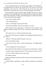Deron snapped his finger as if remembering something. "I'll be right back." He jumped from the log and ran toward Allu, who wasn't far. He said something in the man's ear. Allu beckoned one of his men, gave some instructions, and the man left at a trot to where the gryphons were tended.

Bracken looked at Selleck. Selleck simply shrugged, obviously as clueless as Bracken. Then a dreadful idea came to Bracken out of nowhere. He did his best to ask nonchalantly, "Selleck, if something happens to Adder before Deron is fit to rule who becomes regent?"

"The Great Counselor. Why?"

"Just a simple question."

"That's a weird thing to ask out of the blue."

"Not really. Remember I told you my nephew is my heir."

Selleck looked at him suspiciously. "I still don't see the relation. Your nephew is thirteen already. He will rule in three years. Prince Deron is just five."

"He's about to be six," Bracken pointed with a grin.

Deron chose that moment to reappear with something clutched in his tiny fist. "Here."

"What is it?" Bracken opened his palm to receive it.

It was a long leather string.

"You can tie your hair with it." Deron snickered then. "The flight made it worse."

"Are you making fun of your emissary?"

Deron shook his head violently, but his grin was too big and too comical.

A soldier came up to them and bowed. "Prince Deron, the food is ready."

"Let's eat!" Deron yelled and ran to get a plate.

The soldiers cheered.

Selleck and Bracken stood up to follow Deron. His aide still looked at him suspiciously.

Perhaps Selleck, and Munus at large, should be suspicious of somebody else.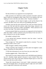# **Chapter Twelve**

#### *Plan*

The Record Room was supposed to be uncomplicated.

Adder growled as he rolled back another parchment. He hadn't asked for help to keep his investigation under wraps, but he was failing on his own. Sighing, he went to the door and called a clerk. "Summon Amanbar."

If he was going to ask for help he might as well call the Head of the Archives. He didn't trust a low clerk not to go babbling afterward.

Amanbar came into the room and bowed. Not a hair out of place from her severe coif. She had ruled the archives under three kings, rumored to be everlasting to keep a promise to Adder's grandfather. "What a pleasure to see you here, my King." She smiled conspiratorially.

It always amused Adder how ancient she was supposed to be but looked no older than Adder's mother would be (in her late forties) if she were alive. "I have a mission for you, my dear Amanbar."

She nodded, waiting for him.

"I was advised that Lakonian emissaries came last winter. I need the transcription of that visit."

"Easy enough, sire." She seemed to study him for a moment. "You were looking by month, weren't you?"

Adder shrugged, suddenly feeling childlike.

"Things regarding other kingdoms are filed under the kingdom's name. Munus's businesses are filed monthly."

"I'll *file* that information for my next foray into your realm, dear."

Amanbar giggled softly. "Please follow me."

They found a two-door cabinet with the word LAKONEH neatly labeled on top of it. Amanbar simply opened it because it wasn't locked. There were around twenty racks with at least thirty diamond shaped spaces in each, but there were only four scrolls in them.

"Seems like Lakoneh doesn't visit much," Adder commented, surprised. Now that he thought about it, he had been king for eight years and couldn't recall a single direct interaction with Lakoneh.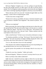Odd since Nightjar's kingdom was a rich one, perhaps not agriculturally, but they had enough resources of other types to be able to procure food if needed. The Ten Kingdoms traded among them, but he had only seen Nightjar a few times in meetings regarding all kingdoms, and always away from Munus.

"Hmm, this last scroll is ten years old." Amanbar brought Adder out of his musings, a cloud of dust accompanying her words.

"Could it have been wrongly filed?"

"Human error is always a possibility, but since a visit from Lakoneh is such a rare occurrence it shouldn't have happened." She arched an eyebrow. "If it did."

"What are you implying?"

Before answering, she swept one finger on the dust next to where the scroll she opened had laid. Then she used another finger to do the same on a random place within the cabinet. "The dust is not as thick here." She pointed at the empty space beside the scroll as she put it back. "Maybe someone took the transcription of that recent visit."

Adder cocked his head. "Or there was no visit and my informant is wrong."

"An absolute possibility, my King." She bowed. Then she looked at him brilliantly. "Isn't the twin princes of Zigag's birthday during the winter, and you always take Prince Deron there for a couple of days?"

"Yes it is. But what does it has to do with anything?"

"The Lakonian visit could have happened when you were not presiding over the hearings because you were away with the prince."

And the person who presided over the hearings when he was away was Renan.

"Thanks for your time, Amanbar," Adder said courtly.

She bowed elegantly. "Whatever you need, I'm always here for you, sire."

Where was Renan when Adder needed him?

Adder had sent a herald the previous night to inform the city that there would be no hearings today because he'd decided between sex in the Kept Hall and sex in their chamber to do this little investigation. He stopped in his tracks toward the Hearing Offices. Did he just think about his chambers as "theirs," his and the Lakon's?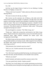*Yes, I did.*

And that was the logical frame of mind as he was thinking of asking Bracken, his Nightjar, to marry him.

"Where is the Great Counselor?" Adder asked one official as he entered the Hearing Offices.

"He went to Lemvar for the day, my King."

Shit. Lemvar was the outermost city of Munus, at the other end of the island. Renan would return straight to Gryphonire. All right, there were other people in each hearing, someone must remember if emissaries from Lakoneh came last winter. They were in the beginning of autumn, it shouldn't be that hard to recall, precisely because (as Amanbar had mentioned) it was a rare occurrence. The official waited to be dismissed. Adder asked, "What group managed the hearings last winter?"

The man thought for a moment. "The White Group, sire."

"Thank you." Adder did an about-face and hurried to the White Group offices. People started to bow and greet him as soon as he entered the practical, unadorned space. High windows inundated the austere space with incongruently cheerful light.

The White Group was the most orthodox of all the officials of the kingdom; they probably had their own backup records. Adder stopped in front of Head of the Whites' desk. Kurtfer stood up with haste, bowing profusely. "My King, what brings you here?"

"Did emissaries from Lakoneh come last winter?"

"Well, yes, sire," Kurtfer answered, his face puzzled.

"And I was away."

"Yes. The Great Counselor presided that hearing. An unfortunate incident." He shook his head, and then flinched as if he shouldn't have said that.

"What do you mean?"

Kurtfer hesitated, and looked around like someone ready to flee.

"You may speak freely, Kurtfer. Explain yourself."

"My King, I am a lowly thing to ever consider questioning your decisions, but all the people present during that hearing thought your instructions to deal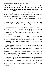with the Lakonians very harsh. After all, they were asking for help and willing to pay for the food." He bowed again before saying, "You are a great and noble king, and it seemed so out of character to instruct the Great Counselor to deny hungry people and kill two of their three emissaries."

The rage surging inside Adder shouldn't explode in front of this man. It needed to be aimed at someone else. He kept his face impassive. "Sometimes things are more complicated than what they seem on the surface."

"I'm sure of that, my King. You must have had your reasons. I'm no one to question them." Kurtfer lowered his head.

"Thank you for your time," Adder said flatly. He left the White Group offices in search of Adroit. He was going back to Gryphonire to wait for his friend.

Evening arrived, and Adder sat in Renan's chambers. He had avoided Nightjar and mostly everybody because he was sure his temper would flare and cause some unnecessary inconvenience. The worst had been Deron, who was astoundingly excited after his warrior's meal with Nightjar. He felt like shit for avoiding his son.

All these hours later, Adder wasn't as pissed off as he had been upon finding what Renan had done, but he was far from being forgiving about it. He had tried to conjure a logical explanation for Renan's actions. Did he know something about Lakoneh at the time that prompted him to be so harsh on behalf of Adder?

Nightjar's hateful face as he spoke about his starving people kept appearing to Adder, and that was the thing that aggravated him the most. Nightjar had called him cruel when he learned about the two soldiers that couldn't wear the colors of Munus. Sometimes things looked rash and unyielding when you didn't have all the pieces to put the puzzle together. He didn't have all the pieces of the Vurgeg ships, and he didn't have all the pieces of Renan's refusal to aid Lakoneh. But one thing was the reaction to the other, or so it seemed.

Adder hadn't been in Renan's chambers in months, but he noted changes that might seem nothing for the untrained eye. Everything was heavily adorned and extravagant; as if competing with Adder's own chambers. When servants came to light the lamps in Renan's room, he ordered them to just light two, the closest to him. The rest of the room remained in darkness, and that was how Renan found it.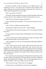The Great Counselor cursed the darkness as he stubbed his foot with something in his way. Any other person would have been startled to find another sitting in his room uninvited; Renan simply said "hey" when he saw Adder faintly illuminated by the scarce light.

"How was your day in Lemvar?"

"Favorable," Renan responded, moving to a chair facing Adder and starting to unlace his braces. His scabbard with Schizo still attached to his waist.

"Why kill two of the three Lakonian emissaries?"

Renan cocked his head, unreadable. "You only need one person to relay a message."

"That's not the way Munus does things, Renan."

"Seemed like the right action at the time." Renan shrugged.

"The right *thing to do* always has a purpose. I don't see a purpose to killing those men."

"It was a man and a woman actually, and the purpose was to send a message to Lakoneh."

It was one thing to kill in battle, defending your land, your people. What Renan did seemed simply evil for the sake of evil.

"And according to you, what was this message that needed blood spilled to be conveyed?"

"Well," Renan move to his feet, found a pitcher and poured some water, "you know how Lakoneh always stands apart. They are part of the Five Kingdoms of Land, but keep to themselves, not getting involved in anything. When asked to deal with matters of the Ten Kingdoms they stay neutral, not in favor or against any situation. They needed to know Munus would not take their shit anymore."

This was the most unconvincing reason Renan had ever given for any of his decisions. Adder went to his friend. "Too much, Renan. Too much," Adder said quietly, squeezing his friend's shoulder. "They were starving, and they were not asking for handouts. They were willing to pay for the food."

"That was the worst part. They weren't even begging."

"Would you have acted differently if they had come begging?"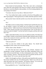Renan shook his head petulantly. "Nah. They came with a cockamamie story about the Lakon going to the Oracle of Cummia, and the Oracle telling him that *we* were the solution to their problem. As if by invoking Apheilon we were going to be lenient."

"You know why one of my titles is 'Beloved of Erin'?"

"Yes. Your mother had to make a sacrifice at the feet of the goddess to be able to get pregnant." Renan grimaced as if Adder asked this question weekly.

"But you don't know what the sacrifice was or how she came to know to do so."

"No."

"My father swam to Cummia, Renan. And the Oracle said that the only way for my mother's womb to be fruitful was to be bitten by an adder in the presence of Erin." Adder moved away from his best friend and paced back and forth. "Their reaction was that of any normal person 'how can the bite of a poisonous snake be helpful?' but they had faith in the gods, and they did it and here I am."

Adder's dead older brothers were sons of a different mother. His father had loved Adder's mother so much that he risked the shark-infested waters to find a way for the woman he loved to give him a child. And thanks to that their lineage hadn't been broken either.

"And your point is?"

"That we trust the wisdom of the gods, Renan. You should have investigated if their claims were true before acting."

"What's done is done. Besides—"

An alarm that had never sound before rang violently. Someone was attempting to invade Gryphonire. Renan and Adder unsheathed Schizo and Telos, and ran toward the doors. As they exited guards came to them. "Flying riders, my King," said one. "They have the colors of Lakoneh, but they are not riding vultures. We've never seen the beast they ride!"

Adder's first thought was Deron. Allu and his men should be able to protect him, but he needed to be sure. He told the guards, "Half of you with me, the other half protect the Great Counselor." He turned to Renan. "Go to the safe room within the rock. We'll meet you there when it's over."

Renan grabbed his wrist. "I should fight beside you."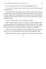"No. I need you to protect my son if something happens to me."

"As you wish." Renan let go of Adder's hand and left with the guards surrounding him.

The sounds of battle, the clang of metal, the yells of injury, and the crash of things flung and broken sounded in the courtyards and terraces. Allu's men and two other squads were surrounding Deron's quarters when he arrived with a complete squad that had joined him on his way there. He looked at the men guarding the door.

One said, "Captain Allu is in there with him, my King."

Adder exhaled, relieved. Now he only needed to find his Nightjar. There were always guards at his chambers' doors but he couldn't be sure if others joined them due to the commotion, and they wouldn't know what to do with the Lakon since there was no contingency plan for a guest in his chambers.

All those concerns dissipated when he found Nightjar with Deron on his lap. Both were safe; Allu and eight of his men had been guarding them inside.

Nightjar rocked Deron sweetly. "I told you your Abba wouldn't take long."

\*\*\*\*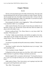# **Chapter Thirteen**

### *Burden*

The boy on his lap jerked to get to his father. Bracken let go. The outer calm he had maintained since the first alarm sounded was ready to shatter. He knew why his people had come; that didn't mean he had to like it. Worst of all, the idea of something happening to Adder was unbearable. It was hard to accept it wasn't only for Deron, but for his own sake.

Deron jumped to his father's arms, hugging him. "Abba, ask King Bracken! I was afraid but I didn't cry or anything!"

Adder stared at Bracken. His eyes spoke of more than just whether his son had been crying or not. He had seen concern like that when his mother was about to die in his father's eyes.

Bracken swallowed hard. "Yes. Prince Deron is a very brave child." He mouthed, "What about you?"

"I'm fine," Adder answered silently as he held his son tightly to his chest. "The guards say the invaders have the colors of Lakoneh, but they are not riding vultures. They are riding something else."

## *The vulhurs.*

"Let me go to my people and stop this unnecessary madness." Bracken went to his feet.

"My King, I wouldn't advise that. King Bracken may try to escape," Allu said unapologetically.

"Are you going to escape, Nightjar?"

Calling him by their private name was a low blow. Still, it didn't seem like Adder had done it to guilt him. Perhaps it had been unconscious.

Bracken negated Allu's accusation with his head. "I'm bound by honor to you. I won't try to escape nor betray you. Let's just end this. Send them back home."

Adder spoke to Deron, "Now, brave prince, you're going to stay here with your guards until King Bracken and I return."

"But, Abba," Deron groaned.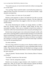"You need to stay put, so I can do what I need to do without worrying about you. Is that clear?"

"Yes, my King." Deron circled his father's neck briefly then pushed away. Adder put him on the floor. He moved to sit on the bed by himself; a regal aloofness enveloped him.

"Come on, Lakon. Let's take care of your people."

Bracken waved good-bye to Deron. He hoped he'd be able to see this awesome child again. They exited the prince's quarters. The men Adder had brought with him joined them; they jogged to where the ruckus of the chaos seemed loudest.

The torches illuminating the corridors cast strange shadows on Adder's blank face. Bracken wanted to ask things, confide things, but they were surrounded by soldiers. There were no wounded or dead in the corridors. It seemed the conflict had remained limited to the courtyards and landing terraces.

Bracken kept eyeing the giant vases neatly placed along the marble walls with caution, expecting soldiers to jump from them and attack. No one did what Renan was planning (if his suspicions were right) alone. Who knew how many of these men were truly loyal to Adder? How many were Renan's accomplices just waiting for a second of carelessness to strike down their king? Could they even trust the men guarding Deron?

#### *Too many unknowns.*

Not even a king could be in two places at once. Bracken needed a sword, a dagger, anything. He was outnumbered if it came to defending Adder from the traitors. They entered a balcony. Below the bloodshed was coming to an end, even the vulhurs stomped upon fallen Munus's warriors. His people had gained the main courtyard.

"Sons of Lakoneh," Bracken shouted, "this is Bracken, Rider of Vultures, your brother."

"Our King!" shouted one of the men back.

"Yeah," cried all, raising their weapons.

Bracken was not going to argue semantics with a hundred or so bloodsoaked men. "Why are you here? The conflict between Lakoneh and Munus ended at the Furya Plateau. There's no score to settle here."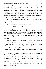A tall, broad blond man moved among the others, closer to the balcony. Bracken recognized him instantly, not only because the moon was full, but because it was a body he had enjoyed many times. Phebos, one of Idared's brothers, shouted, "Lakon, brother of my brother, come down so I can tell you our reasons." He turned to the men around him and gave instructions quietly. The Lakonian Horn called gravely to signal the end of the fight. Men were dispatched to inform those who could not hear the horn around Gryphonire.

"We need to go down." Bracken searched Adder's eyes.

"No." Adder pushed Bracken aside. "You, blond. Choose riders to fly with you and bring your beasts to that terrace over there so you can talk to your King."

Phebos looked at Bracken, searching for instructions.

Bracken nodded. "Do as he says. Bring two men with you."

Minutes later, Bracken saw the unsettling way in which the soldiers of Munus and their king regarded the vulhurs. None said a word, but the quick glance exchanges and stony grimaces were expressive enough. Half vulture half horse, the mighty beasts seemed creatures of nightmare compared to the graceful gryphons and bearded vultures. Perhaps the fact that their feathers were so tiny that they looked more like fur added to the overall dark first impression.

Phebos embraced Bracken. "My King, are you all right?" He kissed Bracken on the lips. Bracken heard a very distinctive cough behind him.

Bracken pushed Phebos at arm's length. "I'm well, my friend. A Lightfeet told me Lakoneh was coming for me. He also spoke of trickery."

"Yes. The fires on the Royal Granaries last winter were not accidents. We found the culprits. They confessed. People from Munus hired them to betray their nation."

"Impossible," growled Adder. He advanced menacingly toward Phebos. "You lie, you motherless dog-son."

"Why would I lie, King of Munus?" Phebos arched an eyebrow. "We have the Munus agents in custody. It took time, but they gave us a way to find the trace we needed. We know the name of the person orchestrating the whole thing. Even the defiling of the bodies on the Vurgeg ships."

Deep inside, Bracken was certain it was Renan, but, for Adder's sake, he hoped he was mistaken.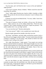"Say the name, and I will find the truth. I swear on Erin and Apheilon," Adder growled.

"Your Great Counselor, Renan of Bathos." Phebos tossed the name like something vile, pestilent.

"Fuck," Adder sighed. Bracken put a hand on Adder's shoulder as Adder added, "He was the one who received your emissaries. I wasn't in Munus when it happened."

So Renan was truly the one behind all this. "I'm sorry, Adder. I know how much he means to you."

"The pain of losing my friend, my brother, will go away. His betrayal, never." Adder turned to one of the soldiers behind him. "Fetch the Great Counselor. Don't explain anything, just tell him I require his presence." The soldier nodded with a "yes, my King" and left.

"Can you trust that man?" Bracken asked quietly.

"Can I trust anyone?" Adder's voice sounded more weary than sad.

Bracken simply squeezed the shoulder when their eyes met.

"My King," said Phebos, and both Adder and Bracken turned to look at him. His eyes were daggers aimed at Adder. "You don't need to honor the King of Munus's Claiming. It was all trickery. Why should we believe his Great Counselor wasn't acting on his orders?"

"He's right, King Bracken," Adder agreed. "Your people were starving because someone burned your granaries. Their hunger brought you to my court and that refusal pushed you to steal the tribute ships. I had to retaliate not just for the stolen ships but for the defiling of the bodies. None of this was fortuitous nor the will of the god and the goddess."

Did Adder know that Bracken had risked the waters to reach Cummia and the Oracle had sent his people to seek Munus's support? Some of this must be the will of the gods if the situation put them together like this. If not, why would the Oracle of Apheilon send Lakoneh to the hands of Munus? Still, this didn't seem like the moment to argue with Adder, with these men surrounding them.

Not now that Phebos was there, determined to take Bracken back to Lakoneh, no matter what. He would find a way. After all, they were claiming him as their king. A king had the authority to tell them to go fuck themselves for a while if he thought it fitting, right?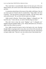They stood there in uncomfortable silence for the most part of the next fifteen minutes, the screech-snort of the vulhurs the only thing breaking it now and then.

A commotion alerted them of the return of the soldier with Renan. Alas, he was alone and out of breath when he reached them. "King Adder, the Great Counselor." The man heaved, trying hard to breathe. "He and twenty riders rode northwestward." He was bent with his hands on his thighs.

Adder turned to Bracken. "Return home, Nightjar. I relinquish you." He faced his men. "Come with me, we need to find that dog-son traitor."

Why did it hurt to hear the words "Nightjar" and "I relinquish you" together? Bracken grabbed Adder's wrist. "Renan affronted us too. We have a right to his life as much as you do."

First, Adder lowered his head to look at the hand on his wrist. Bracken thought Adder was going to jerk it away; they were in front of his men after all. Instead Adder surprised him. He raised his head, their eyes met, and (with an evil grin) Adder said, "Then let's see who relieves him of that burden first."

\*\*\*\*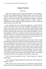# **Chapter Fourteen**

#### *Forgiveness*

Adder was not happy with that blond lummox, Phebos, so close to Nightjar. The man's first mistake had been to bring the Lakon's sword, Charos, from Lakoneh. Adder had been planning on giving him a sword as he proposed. There was no point in that now. The second mistake had been to convince Nightjar to fly one of those dreadful beasts, the vulhurs, instead of Thunderstrike. Another slight and Adder would find any excuse to skewer the dog-son with his own sword, Telos.

A new morning came to be, orange and magnificent, as Adroit followed Soulfire's trail in the currents of air. Those who didn't ride gryphons were not aware of their ability to find each other, especially if they had been raised together or their riders had a connection. Renan's and Adder's gryphons would be able to find each other even if one was in Munus and another in one the Land Kingdoms. Distance was nothing for them because the messages in the wind did not die for a gryphon seeking another. Knowing this, Renan had escaped on Soulfire, sure that they would pursue him. This meant he was planning something, an ambush or something more evil.

Contrary to what Adder had expected, Renan didn't flee to Lemvar, where his family had an estate; he'd decided to make his stand halfway there. Adroit was descending toward the Cerbera Forest, a dense marsh area of not-so-tall trees, where people in ancient times used to come to commit suicide. The mysterious evergreens with their vibrantly green leaves, beautiful white flowers, and plump mango-like fruits were a deception because they contained a toxin capable of stopping the human heart if ingested. It was also a place where gryphons could not maneuver successfully if a fight ensued. It was better to not search for Renan and his cohort on their gryphons' backs. They alighted at the edge of the forest, forty gryphon riders and forty vulhur riders.

"We can't take the gryphons in there," Adder explained to Nightjar, dismounting.

"Ah," the King of Lakoneh patted the neck of his beast, "but the vulhurs can negotiate it easily."

Adder could see why since their form was streamlined, encompassing the agility of the horse with the flying capability of the vulture. They had not been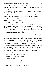created to be beautiful but to be effective. He shuddered internally; these monsters could be a threat to all the kingdoms if Lakoneh decided to use them on a conquering agenda.

That asshole Phebos and his beast trotted forward. "I'll take you, King of Munus." He extended his hand, offering to pull Adder upward.

Adder would rather throw one of those vulhurs on his back and carry it around the Cerbera Forest than to share a mount with that blond lummox.

Nightjar move forward. "King Adder is coming with me, Phebos. Don't be obnoxious." He chuckled and winked.

The wink was returned with a cheeky grin.

The image of Phebos's head flying in the air after a lightning swing of Telos prevented Adder from telling the man to go fuck a vulture because Nightjar was his. The awareness of his time around the Lakon coming to an end was a toxic addition to his already foul mood. He took the hand that Nightjar offered and climbed behind him. The armor felt right as he embraced it, and he noticed the slight trembling of the hard body flush to him.

Other words would come out wrong, so Adder settled for, "I'm ready."

Five men were left to attend the gryphons, the others shared mounts with the Lakonians, minus two trackers (one for each kingdom), who moved on foot. So at the end, there were more Lakonians in their party, which meant that Renan's capture would be a victory for Lakoneh instead of Munus. But that was a petty thought; the important thing here was to find the traitor.

They moved through the trees since this forest didn't have a defined path to cross it. The low branches were so close they only had to extend their hands upward to touch the hanging, ripe fruits. Some Lakonians were grabbing them and saving them on their saddles. "These fruits are poisonous to humans," Adder told Nightjar.

"They know. We have these trees in Lakoneh too."

"Then what are they saving them for?"

"What do you think?"

"You Lakonians are something."

"That's why we keep to ourselves."

Adder sighed. "I'm going to miss you, Nightjar."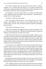The Lakon's helmeted head moved backward and rested on Adder's shoulder. "Let's not think about that right now." The almost colorless eyes stayed open, looking at the green leaves blocking the still-awakening sky, and their bodies swung softly with the steady gait of the vulhur.

The temptation to kiss the exposed throat was strong, and Adder didn't resist it. Nightjar moaned when Adder's lips touched him. "I just hope there is an *after* for us," Adder murmured.

"I found it!" called one of the trackers.

They converged toward the trackers. They followed them for twenty minutes when suddenly, yells and war cries descended upon them. Their attackers didn't wear the colors of Munus but those of the House of Bathos, green and silver.

#### *So the dog-son is planning a civil war.*

Adder tried to dismount, but Nightjar kept him in place and snapped, "Not yet. Let the warriors do their job." Still, they moved amid the fracas, slicing and hacking, each leaning from one flank of the vulhur.

Most of the men of Munus were on the ground, using the vulhurs to cover their backs, and the Lakonian riders fought alongside them from their saddles in astonishing synchronization. Even the vulhurs had joined the fight, their powerful beaks biting off limbs and necks and their hooves stomping on fallen enemies. Renan's men were myriad, but soon the combined forces of Lakoneh and Munus were decimating them.

Out of nowhere, a roar surged above the screams and yells and the clang of metal on metal. So out of place, it rent the chaotic rhythm of the battle. Everyone stood still for several heartbeats, trying to fathom the origin of that unnerving sound. Another roar, and then they saw it coming, zigzagging swiftly amid the poisonous trees, a fucking giant feline covered in silver-plated armor. Adder couldn't say he had seen the feline before, but he would recognize the armor of the rider anywhere. Renan was riding a beast that didn't have a reason to be in Munus.

Pouncing on the nearest vulhur, the feline went for its neck. The force of the attack toppled the animal and hurled the rider away. Bewildered, all watched as the feline shook the vulhur in its jaws as if it were a rag doll.

"NO," Nightjar shouted out. His outraged call galvanized his men and those of Munus still standing back to battle. The sounds of war rose to the sky anew.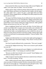Renan steered his feline away from the dying vulhur toward Nightjar and Adder. As he came closer, he yelled, "You two are mine."

Phebos and his vulhur crashed into Renan sideways before he could reach them. Both Phebos and Renan were flung from their saddles with the impact. The vulhur didn't have a chance but gave a good fight before the feline shredded it. Phebos engaged Renan, and Nightjar and Adder jumped from their mount and ran to them.

The impact had Phebos limping; thus he deflected more than attacked, but he stood his ground even if it was with difficulty. Nightjar entered their space and caught a downward cut that would have severed Phebos's forearm and kicked Renan in the stomach making him stagger backward. Adder grabbed Phebos and sent him out of the way. "He's ours."

Renan straightened himself and circled with them. He had Schizo and another sword Adder didn't recognize, but it had a Sulfus-style coiled hilt. The sword and the feline were strong indicators of foreign support. If Adder confirmed that Sulfus was backing Renan up, there would be an all-out war before next spring. Renan sliced his swords down rapidly, making a figure eight as if this was some kind of swordsmanship exhibition. "Come on, birdies. Time to finish this."

Nightjar and Adder had their own swords in their rights and long daggers in their lefts. Adder spun Telos before lunging. "Why, Renan? I loved you like a brother."

The Great Counselor deflected with a counterstroke. "That wasn't enough."

From the left, Nightjar backswung. "There was no reason to pull Lakoneh into your shit."

Renan laughed and swung upward to parry Nightjar's cut with his left as he flicked Schizo at Adder. "I was hoping you would end Adder."

"Because you didn't have the balls to do it yourself," hissed Nightjar as he cut sideways aiming at Renan's ribs.

Adder swung low from the opposite direction to slash the back of Renan's knees. "You had everything," he spat.

With a skillful backward jump, Renan avoided both impacts. "I couldn't claim your place if I killed you myself. But this cocksucker had to fall for your dick and you for his tight ass." He thrusted forward with both swords. "Now I'm gonna get rid of both of you and claim two kingdoms."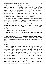"Pleasure is not a crime, but high treason is," Adder growled, dodging a descending blow. He cut with Telos as if directing his right toward the neck, and as Renan moved to parry, he stabbed Renan's thigh with his left. "And you're going to pay for it." He lowered himself, and Nightjar severed Renan's neck neatly with Charos. The shower of blood on them was minimal as both kicked the body away. They turned around quickly, putting their backs together and ready for the next assailant, but no one was coming. The battle around them had come to a standstill waiting for the outcome of their match.

The men in the House of Bathos's colors threw down their weapons in surrender. Several Lakonians were wrangling the feline. Both men of Munus and Lakoneh were pushing the enemies to their knees.

Adder grabbed the Lakon's face and kissed him—kissed him like never before because perhaps this was his last chance to do so. It was sweet and wrong because there was blood on their lips, but they were victorious and alive and hard.

Phebos shouted, "What do we do with these?"

Adder let go of a shocked-looking Nightjar. He understood the question since the Lakonians never kept prisoners.

"Sons of Lakoneh, haven't you spilled enough blood of Munus already?" Nightjar asked as he composed himself. He took Adder's hand. "These traitors belong to their king. I claimed the life of our enemy. That *is* enough for *your* king."

The Lakonians cheered the name of their king, "Bracken! Bracken! Bracken!"

"Men of Lakoneh and Munus," Adder shouted, and the chanting men became silent. "Traitors do not have a place in my kingdom. I cannot allow their poisonous hearts to beat and sully our land, the land of our ancestors." He raised Nightjar's hand to his lips and kissed it. "Sons of Lakoneh, please step aside and let your brothers of Munus take care of the traitors for there is no leniency toward those who follow Greed instead of Brotherhood." He saw the men wearing the midnight blue and silver of Lakoneh move away from those on their knees. "Let this be a lesson. Let their wicked hearts die here among poisonous trees to end this circle of lies and deception." His men grabbed hairs and placed swords on throats. He squeezed Nightjar's hand. "Your sentence is only one and it won't be delayed. I hope you find forgiveness in the hands of Erin and Apheilon because there's none in my heart."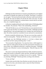# **Chapter Fifteen**

#### *Wish*

Shillelagh, the Head Alchemist of Lakoneh, greeted Bracken as he alighted at his palace in Nakohel, the capital city of Lakoneh. "My King, it's so good to see you again." He bowed and moved aside so Bracken could crouch and kiss the ground. He took his helmet off and felt the earth on his lips. So many moons away from his homeland, it seemed almost a miracle that he was back. Alas, not a completely happy one.

As Bracken straightened himself up the chubby hands of Shillelagh grabbed his shoulders. He protested, "What is this manhandling, Alchemist?"

"Who did The Rite on you, sire? We heard that you were attacked, but for it to be so grave that The Rite was needed is inconceivable," Shillelagh said after taking Bracken's chin and squeezing his face, turning it this side and then the other. His old but rotund face scrunched, his eyes narrowed in concentration.

Bracken swatted the alchemist away. The man was worse than a pesky fly when he turned grabby. "Nobody did The Rite on me. I would have known."

*Although, now that Shillelagh mentions it, I do have a distant, fuzzy recollection of Timir saying something about "a mite."*

"Not necessarily, King Bracken. You must have been a child trapped in a man's body for weeks and by the time your full consciousness returned to you most of those 'new childhood recollections' would have been gone." Shillelagh turned to one of Bracken's escorts, beckoning him. "Help the King out of his armor."

This armor was the only thing he had left from Adder, beside the memories. Adder had secured it on Bracken's body with firm, sad hands and whispered good-byes. It seemed almost a sacrilege to be out of it so quickly. "What are you planning, Shillelagh?" Bracken growled, scowling at the alchemist.

"A test, my King."

Another rider moved to help. Soon, Bracken was only in his tunic, his arms crossed over his chest, and seriously ready to smack the Head Alchemist.

"The tunic too, sire."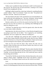Nudity wasn't a problem for them, but Bracken couldn't see the purpose of this exercise. He took the tunic off and stood there, counting to ten to keep himself from strangling the old man.

Shillelagh walked around him, observing, looking for something Bracken couldn't fathom. "Aha!" he exclaimed. "Come over, rider." He pointed over Bracken's left side. "What do you see here?"

The man looked at the place with a puzzled face for several heartbeats, his head cocked and with squinting eyes. "Just skin, Alchemist. Normal tanned skin," he said flatly, apparently not sure if he had aced the test or not.

Bracken could see the scar left by the assault in the Kept Hall. How could this man not see it? He was about to say something when Shillelagh put his hand up, asking him to wait.

"And here?" he asked the man to check the opposite side, where the other scar was clearly visible to Bracken.

Squinting more, the rider moved closer, so close Bracken thought the man was going to touch him, but he didn't. "Am I supposed to see something, Alchemist? All I see is regular skin. What am I looking for?"

"You did well," Shillelagh said, patting the rider's shoulder. He called another man to inspect Bracken with the same results, then five more. Phebos was one of the last to try. He put his fingers on Bracken's flank, but the touch, far from inciting the usual response, just annoyed him doubly.

None saw the scars from the attack. They weren't the only scars on Bracken's body, but these areas were devoid of marks; thus, those two could not be confused with old ones.

"What's the meaning of this, Shillelagh?" Bracken asked, disturbed. He had never performed The Rite himself, only knowing about it as part of his Royal Training—an arcane thing and only for few. Fern would only learn it after he became king and not before.

"Scars left by The Rite are only for those who bear them and us who can see things in deeper realms." Shillelagh moved closer and tiptoed to speak in Bracken's ear, "The King of Munus saved your life with his own blood."

## *Fuck.*

Even away from Adder, Bracken discovered new things that encouraged the illusion of something greater than just mere attraction between them. The Rite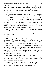took life from the giver. Adder had lost perhaps years of his life (depending on how much blood they had used) for a Kept, a mere War Trophy. He looked at the alchemist for a moment, then blinked. "Thank you, Shillelagh. I need to be alone now." He asked for his tunic and donned it with a swift motion; he didn't bother with a belt.

The men around him bowed and let him go. Phebos walked beside him silently, dissuading anyone who seemed inclined to stop him for a word.

Bracken didn't admire the blue marble of his palace walls or the swirling columns of its corridors, didn't care for the beautiful statues of old kings and queens of Lakoneh, nor for his people bowing as he walked among them. He just wanted to be alone. Alone to process the confusion and the need and the helplessness enveloping and restraining him like a sweaty bedsheet during a nightmare. "I don't want to be disturbed until I come out on my own," he ordered Phebos when they reached his chambers' doors.

"You know I'm here for you if you need me." Phebos took Bracken's hand and pressed it over his heart.

"You're a good friend," Bracken murmured, removing his hand quietly from the other's hold.

"Whatever you need, Bracken."

"All I need right now is solitude, Phebos. Now post guards at my door and see to your wounds. You aren't indestructible. None of us is." Bracken opened his door, entered his chamber, and left blond, broad-shouldered Phebos standing outside with a pained expression on his handsome face.

Three days later, Bracken came out of his chambers, resolute. He had decided to forgive his heart for being selfish—forgetting its duty to Bracken's people. He had resolved to let Adder be a good memory amid an awful moment of his life. He had chosen devotion to his nation instead of the egotistical dream where the King of Munus was something other than a man who had him in his grip thanks to the trickery of another.

Bracken found Laelia sewing with other ladies in one of the high pavilions of the palace. The weather was getting chiller because autumn was coming to its end, but it was still very sunny; thus the women enjoyed the light and the breeze, shielded by their gauzy shawls.

Laelia saw him, put her work aside, and ran into his arms. "Oh, brother, I was so worried. It's not like you to coop yourself up for days." She inspected his face, her violet eyes almost watery. "Are you all right now?"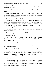"I'm a king." How he hated that word, but it was his reality. "I ought to be all right for my subjects."

She sobered up, narrowing her eyes. "You know that's a lot of smeared vulture dung."

In spite of himself, he chuckled. People said they looked a lot alike when they glared. "Careful, little sister, you might soil your chiton with such words spilling from your pretty mouth."

"Something happened to you in Munus, and I'm not talking about being a Kept, or the attack, or the treachery of that dog-son Renan of Bathos. I'm talking about your heart. Lakonian women can be as hard as their men, but we know matters of the heart when we see them. The sadness I see in your eyes comes from a heart that has been denied. But that's your deed, coming from a stubborn and misguided sense of duty."

"Matters of the heart are two-way paths. They cannot be one-sided," he offered with a grimace.

"And you have proof that it is one-sided?" She arched an eyebrow.

Bracken shrugged.

"Sweet Erin. You men are so dumb. You can face armies and draw blood like farts, but are incapable of handling the simplest things." She rolled her eyes. "Did you ask?"

"It doesn't matter now."

"So you're ready to live with a broken heart because you didn't have the courage to ask a question?"

"Tread carefully, Laelia. Do not dare to call the Lakon a coward."

"Then don't act like one," she huffed. "Find a way to ask the stupid question and *then* live with *those* consequences, not the ones you made up in your mind!" She turned around, threw herself onto her seat, and accepted her needlework from one of the other ladies.

## *That went well.*

Still, his sister's words haunted him for many days afterward, effectively mining the decisions he had made on his own. Nights were the worst because the silence of his chamber was a sharp knife. Bracken couldn't believe he missed Adder's creepy-sounding little birds.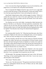*Fuck. I even miss him whispering Nightjar in my ear as he stroked me, as he fingered me, as he made me his with patient determination.*

Was it wrong that this Nightjar missed its cage, even if it was a cage made of sweet words and caresses, of lips and murmurs, of skin and wonder? Was it love that kept squeezing Bracken's heart and turning him inside out?

Idared hadn't helped matters either with this nugget of wisdom, "Where is it written that you cannot be a man in love and a good king at the same time? Didn't your father love your mother until his last breath, even if she went to Erin's bosom before him?"

Yes, Bracken was in love with Adder. Learning that Adder had given his blood in The Rite to save Bracken's life had sealed that wretched fate. How could he not love the man who had sacrificed the length of his life to give Bracken another chance at living? Had Adder done this hoping that they could be together? Was Bracken truly living if he denied himself happiness?

#### *What if?*

No. Lakonians didn't dwell in "ifs." When they heard the music, they'd face it and dance. Right now the Lakon was avoiding the music, not even tapping a foot. There was only one thing to do to stop this destructive pain.

The next morning, with the first rays of the rising sun, Bracken mounted Rampant, his vulhur, and rode west, surrounded by six Royal Guards, toward the Gate, the beach facing the Oracle of Apheilon at Cummia. He would not ride another vulture after the death of Silvercall, but the men with him flew on the magnificent birds as it was the custom. Vulhurs had been created for war. Perhaps for Bracken this was a battle of sorts.

The first hour of the two-hour flight from Nakohel to the Gate passed without incident when they encountered a vulture rider coming in the opposite direction. It was a messenger from the garrison near the Gate.

All descended. The messenger dismounted and came to him. He bowed. "My King, we have spotted gryphon riders at the Gate. I was on my way to alert the palace of the situation."

"How many?" Bracken asked.

"Seven, sire," the rider answered. "The garrison moved men to the shore to avoid any confrontation between the men of Munus and any other people seeking the Oracle."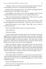"All right. Continue your journey. Inform General Idared that you saw me. My destination is the Gate, so I will deal with the situation there."

Bracken and his men gained the sky. The vultures and Rampant did the remaining distance of the flight in thirty minutes.

They alighted on the beach, not far from the gryphon riders. Bracken recognized Adroit instantly. Selleck was also among the Munus men.

"This is an unexpected surprise, King Bracken," Selleck said as he walked toward Bracken, opening his arms to embrace him.

The vulture riders surrounded Bracken in a blink. He told them to stand back and hugged his former personal aide. "What is this? Why is Adroit here?"

Selleck held Bracken at arm's length. "King Adder came to seek the wisdom of the Oracle."

Could it be possible that they came to the same conclusion?

"When did he go?"

"With the first light."

A good, strong swimmer would take almost forty-five minutes to reach the jagged shores of Cummia, if the sharks didn't make a feast first. The legend said that those seeking the wisdom of the Oracle with true faith in their hearts were protected against the ferocious predators. They had swum, circling Bracken for a while when he braved the waters, so he had to believe that the legend was true. There were very few other explanations.

Selleck and Bracken walked to the gryphon riders. The men bowed, recognizing him. Bracken nodded. "Brothers of Munus, let's break fast and wait for your king." Both groups of riders cheered. As the soldiers distributed food and drinks, Bracken went to Adroit. He petted the great head with expressive, golden eyes. "I hope your master has the same question I have."

Adroit purred almost in affirmation.

After eating, Selleck and Bracken sat on the sand away from the others. "Deron has been asking about you unstoppably. He's convinced that you're coming back because you are his emissary regarding his toy sword," Selleck commented casually.

Bracken had forgotten all about that.

"I know you aren't my aide anymore, but please remind me to broach that subject as soon as we see Adder."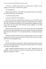"Of course." Selleck stared at him for a long moment. "There's no law saying you cannot visit. You know that, right?"

"It's complicated."

Selleck shook his head. "I just hope you two get the answer you need from the Oracle and be done with it already."

"I really hate cheeky aides."

A shrug was Selleck's silent response.

When the sun found its zenith, Bracken started to worry. He started to pace the shore looking for any signal of someone swimming back from Cummia. One rider from Munus and another from Lakoneh played noughts and crosses on the sand a bit away from where Bracken paced; suddenly, one of them yelled, "I see something!"

Bracken used his hand like a visor to protect his eyes from the blinding winter sun and inspected the glittering waters, trying to find that something the rider had seen. He found it. It was a dark-haired man, swimming with great effort.

Now they only had to wait for the man to gain the shore on his own or they would botch the man's effort for the Oracle. All the riders moved to the shore and cheered, encouraging the man.

## *It's he.*

Bracken was the first to reach him as Adder crawled on the sand away from the waves. They embraced, both on their knees. Bracken didn't have words; he only squeezed Adder silently.

Adder coughed and pushed Bracken away a little. "Blessed be Erin and Apheilon. I went to Cummia for an answer, and before the end of the day, the gods have granted me a wish."

\*\*\*\*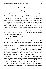# **Chapter Sixteen**

## *Equality*

Adroit hadn't been happy, flying beside them, as Adder rode with his Nightjar on Rampant. A gryphon would follow your orders, but you could see the "under protest" fire in their eyes when they did not agree with those orders. But Adder was too tired after the swim to steer and it felt too right to be in Nightjar's embrace to let the opportunity pass. He'd make it up to Adroit later.

Alas, contrary to what Adder had hoped, Nightjar had left other people in charge of him upon their arrival at the palace in Nakohel. He had excused himself saying that he wanted to organize a feast to welcome Adder properly to Lakoneh, for his people to know that there was no animosity left between the two kingdoms.

"Will it be all right with you if I send Selleck to fetch Deron? I miss him and want him here with us for the feast," Nightjar said with a brilliant smile that reached his eyes and made them sparkle.

"Of course. He misses you too, a lot."

"Thank you."

Now Adder held Deron's hand as they walked into Nightjar's Great Hall. Deron had arrived an hour earlier with whirlwind excitement. Good thing Adder had many hours to rest from his visit to the Oracle of Apheilon—where he'd gotten his answer. All that was left was to put that answer into practice.

Three long tables occupied the central space of the large room. People milled around them but none were seated. Two of the tables were parallel to each other while the third stood opposite the entrance, its ends perpendicular to the other two. Torches illuminated the marble walls, casting wavering shadows on the swirling columns and the richly dressed, moving people.

The animated noise of the gathering silenced as Adder and Deron entered. Adder found the cloudless-sky eyes immediately. The King of Lakoneh looked magnificent wearing the colors of his land, his tunic midnight blue, and his overtunic a silvery fabric that enhanced his deliciously tanned skin.

"Adder, King of Munus, Beloved of Erin, Master of Gryphons." Nightjar made a pause. "And my friend, Prince Deron of Munus, welcome to my house.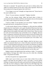Welcome to Lakoneh." He spread his arms and went to embrace them; first Adder in an almost formal way but with a wink as they separated. Then he let Deron jump into his hug and squeeze him with fervor.

"I'm so happy to see you! I thought you forgot about me!" Deron burst in his usual exuberant way.

"Never. I'm your emissary, remember?" Nightjar chuckled.

What was this emissary thing? Adder had heard about it before in conversations between Selleck and Deron, but he had no clue as to the meaning of it. Why would a king be the emissary of a child?

"Come on, Adder. Let me introduce you to my family." Nightjar extended his hand and moved, carrying Deron in his arms.

A svelte mostly ethereal version of Nightjar in a silky pink dress skillfully draped about her stood beside a tall, square-shouldered blond man that had a slight resemblance to Phebos, who Adder hated no more after his valiant crash against Renan in the middle of the battle of the Cerbera Forest. These two must be Laelia and General Idared, sister and brother-in-law of Nightjar. Between them, a young man, technically still a boy but almost as tall as his mother (who wasn't really a short woman) with blond hair and those colorless eyes like his uncle in high contrast with the brown but beautiful eyes of his father. Fern, Nightjar's heir.

After the introductions were made, Nightjar called for the feast to start. Adder was surprised when he saw a chair in the place reserved for the King's consort. Custom dictated for that space to be empty since Bracken of Lakoneh was unmarried. Adder himself had broken the custom by seating Nightjar in that prominent place in his own Great Hall, but it had been to give the Lakon a hint of his intentions. Could it be possible that this was the same case?

Nightjar looked at the high-backed chair and then at Adder. "I'm repaying your kindness. Be happy that I didn't dress you all in white like a blushing bride." He grinned inscrutably.

#### *Just that, the payment of a supposed debt?*

Adder wasn't sure of what to say or worse what to think. He sat with a grimace and drank the first goblet of wine in one gulp, a servant quickly refilling it. He glanced about the tables and found Deron smiling and talking to Fern. His son wasn't sitting on a child's chair but one with longer legs so he would be at the same level with his fellow diners. Surely it was a chair that had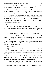been created when Prince Fern was little, but it touched something inside Adder that Nightjar had thought to bring it to the table for Deron.

"Is Munus in trouble?" asked Laelia without preamble. She sat beside him, and had been graceful enough to let him put some food inside him before dumping that seemingly random question on him.

Out of sorts since the beginning of the feast, Adder had been caught unawares but had enough control to not flinch or show any other outer sign of discomfort. "Not at all, my dear Laelia. What would make you think so?"

"Then you went to the Oracle of Apheilon to ask about my brother." It was a plain statement not a question.

"Yes."

"Good. Don't take forever to do whatever needs to be done. No matter if it's good or bad." She fluttered her long dark lashes. To anyone observing she was telling him some girly anecdote. "Bracken told me what you said to him at the shore."

So she was his confidant. "I love your brother," he offered honestly.

"Well, don't tell me, tell him." Laelia waved her hand dismissively. "He seems to think that love is impossible between you two." She smiled coquettishly. "I'd slap him out of it, but that's not my place."

Just by the grace of Erin, Adder didn't sputter wine and lamb at her words. He just coughed. Nightjar stopped the conversation he was having with Idared at his left and asked, "Are you all right?"

Adder only nodded.

Nightjar stared at him quizzically for a moment, then returned to his conversation with his general. Laelia had turned to the other side. Engrossed with another lady in an enthusiastic exchange, she now seemed determined to ignore Adder.

The feast was not an extended affair. The Lakonian were famous for their brevity. After all, that was what Nightjar's first title meant. He was the Lakon, the first among his people—and succinct in words and actions.

Soon, Nightjar and Adder were saying their "good nights" to Deron and leaving him surrounded by Allu and his men.

"Let me show you to your sleeping quarters." Nightjar pointed forward.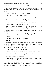*Shit. It seems like I'm not going to sleep with him.*

"Don't bother. I know how to return to the chambers where I rested and changed," Adder offered, trying to sound neutral instead of disappointed and miffed.

"I'm giving you different accommodations for the night."

"Oh." Adder didn't know what else to say.

"Would you like me to arrange some entertainment for you?"

The Lakon's businesslike tone was frankly infuriating.

"Are you kidding me? Why would I want any other person than you?"

Nightjar stared at him, astonished. "I didn't…"

"You didn't what?!" Adder threw his hands in the air, not caring about the guards surrounding them. "Stop playing mind games with me!"

"Do I look like I'm playing?" Nightjar glared, and his voice was dangerously low.

"Where are you sending me to sleep, a fucking dungeon?"

"My chambers."

"Oh." Adder froze on the spot. "I'm an idiot."

"Your words…"

That did it. Adder grabbed Nightjar by the shoulders and smashed him against a nearby wall. The guards around them were from both kingdoms. He saw their hesitation for a heartbeat, but before they could react, Nightjar put his hand up, letting his men know he was all right.

"I hate that you do this to me," Adder growled.

"What am I doing? Tell me," Nightjar hissed, peering at Adder's face.

"You confuse me. You make me crazy. I lose control."

"You've never lost control around me."

"Not when you're in my arms. It's when I don't have you, when I cannot see you," Adder frustratingly confessed.

Nightjar swallowed hard and insanely audibly. It seemed like all the men around them were holding their breath. "I think it's best to continue this conversation privately." He tried to shrug Adder off.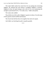This made Adder realize how much force he was putting into restraining Nightjar. He released him and started to straighten Nightjar's overtunic. Nightjar let him, his hand resting on the wall as if he was summoning the strength to push himself off it. "I'm really sorry," Adder said quietly.

The Lakon only nodded.

They did the rest of the walk to Nightjar's quarters in silence. Even the steps of their guards seemed muffled and hesitant.

The Oracle had told him that to be together they had to be equals.

And Adder was botching the path to equality grandly.

\*\*\*\*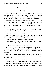# **Chapter Seventeen**

### *Knowledge*

As soon as the doors closed, Bracken grabbed Adder by the jaw and pushed him against the wall. "You're in my fucking kingdom. Never do something like that in front of my people again. You can manhandle me all you want when we're alone." He kissed the startled Adder like there was no tomorrow.

By pressing it over his chest, Bracken's hand kept Adder flush against the wall; the other stroked an increasingly growing cock under rich fabrics. Bracken couldn't have known that Adder dressed in all the colors of the sunset would be such a massive turn on; he would have skipped the feast altogether for his own benefit.

Finally, he had this man, his torment and redemption, facing him inescapable. Bracken didn't want words, but there had to be some.

*Sentiments are the ruin of men of action.*

And yet without them, true kings could not rule; true men could not live. Bracken stopped his assault on Adder's upper and lower fronts.

"I'm yours. Marry me," Adder said breathless, panting.

Why did life have to be so complicated? Why couldn't they just be two riders who met in a dark tavern?

"Kings don't marry other kings," Bracken summarized.

"Why not?" The flame in Adder's eyes was a reminder of what Bracken saw on the deck of an enemy ship a long ago day. It was enhanced, more disturbing, but still the same blaze as when their foreheads touched after The Claiming.

"We cannot unite the kingdoms. There has been too much blood, too much deception between realms. There have always been ten kingdoms, we cannot make them nine."

"Who says we need to unite them? Be the king of my heart. The king of my soul. Let the land be land and people be people, but be mine as I am yours."

Bracken didn't answer. He kissed Adder's lips softly and went to his knees. He had ceased his stroking, but his hand had retained Adder's cock. It was solid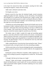in his hand. He removed the fabric and inhaled, nuzzling the thick shaft, savoring that fragrance, unique and intoxicating.

Adder made a defeated sound above him.

## *No thoughts, just senses.*

Bracken moved his lips about the hardened length, myriad sensations rippling throughout his body, imposing, visceral, devastating. All multiplied and exploded as he swallowed with devotional pace, tongue circling, teeth grazing. Bracken looked upward; he couldn't see himself reflected in Adder's dark eyes in the dim light of his chambers, but he beheld hope and desire on that regal face to his inexorable undoing.

Closing his eyes and sucking eagerly, Bracken let his hands roam over the hard planes of Adder's abdomen and hairy chest. So focused on touch and taste and smell—both forgot about removing clothing or moving to a different part of the chamber. They stayed there by the door, like hungry men, needy and desperate, afraid this moment might be snatched away from them.

The leather strips of Adder's sandals felt rough and unyielding against glorious, warm skin as Bracken's hands started a new journey, caressing from ankles to the back of the knees. Always upward, he mapped strong thighs. Fine hairs tickled his fingers pads and guided him to round muscles that he used for leverage. He deep-throated; a fuzzy sac welcomed his lower lip while dark curls caressed his upper lip.

Adder combed Bracken's loose hair back, then touched his cheek. "Please," he murmured softly, moving his hand to the chin and pulling up lightly.

With his entire body on fire, Bracken dislodged the girth commanding him. His hole screamed for attention, but he would let Adder do. He straightened up wordlessly.

Pushing the overtunic off Bracken's shoulders, Adder sought his eyes. "You need to stop avoiding my question, using pleasure to confuse me." He chuckled a little.

"I thought I did that just by being out of sight."

"Bastard," Adder said lovingly, caressing Bracken's cheekbone with his thumb. He lifted Bracken's tunic to pull it off. As soon as Bracken was naked, Adder pressed their bodies together, his hands wandering over every surface they could reach.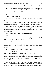"Who's using pleasure to confuse now?" Bracken whispered in Adder's ear.

"The Oracle gave me an answer, now I need yours." Adder grabbed Bracken's ass, spreading cheeks and seeking the tight spot. He inserted a digit.

"You want me to be coherent while you finger me?"

"Yes."

"Dog-son," Bracken moaned.

"You cannot lie if you cannot think," Adder explained, then bit Bracken's neck.

Teeth became knives, inflicting pleasure, tearing boundaries apart. Bracken retained enough lucidity to ask, "What was your question to the Oracle?"

Adder licked the skin he had bitten, then continued upward, his tongue flat, leaving a wet erotic trail. "You don't need the question," he murmured gravely. "But I can give you the answer." He shifted to look Bracken in the eye. "We're meant to be equals."

More than the words, the tone made Bracken shudder.

*Equals.*

"You were at that beach because you were going to visit the Oracle yourself," Adder stated matter-of-factly.

Bracken only nodded.

"You don't ask what you already know. You had your answer before. 'The gryphon riders are your solution.' Why do you think you need another answer?"

"This is a different matter," Bracken said breathlessly.

"Is it really?" Adder's dark eyes blazed. "You are my answer as I am yours." He held Bracken's face with both hands. "I love you. And if you don't love me now, give me time. Let me win your heart." He kissed Bracken's eyes. "Every man before you was a game or duty, but you opened something inside me during The Claiming. I saw myself reflected in you." Adder sighed. "It's hard to explain."

Their brows touched; their crowns made a shy clink. "I know what you mean," Bracken uttered quietly. He took a deep breath. "That first night in Gryphonire I went to your bed expecting to be used. Instead, you showed me a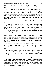different side of manliness. A side of lovemaking focused on giving and not on taking."

Their lips brushed. The lust between them turned into something clearer, brighter, lighter. Bracken took Adder's hand. He guided him through the chamber to the bed. He turned and removed Adder's overtunic, then his tunic. There was something really hot about Adder in just his crown, rings, and golden sandals with their strips crisscrossing over those massive calves. His cock rose proudly from its nest of dark curls. His balls were taut and mouthwatering.

Bracken lay over the furs on his bed, stretching his body. "I want you inside me."

"I'm yours to command." Adder put one knee on the bed, his body looming over Bracken. He used saliva to slick his cock, then put more on Bracken's hole. He raised Bracken's legs, pushing forward. The world around them dissolved with every inch. The sting was bliss, curse, redemption. When he couldn't get any deeper, he bent Bracken until their faces were almost touching, and exhaled a single word, "Nightjar."

Bracken's entire body trembled. Adder's hips started to move, with that kind of shallow circular motion that he knew drove Bracken out of his mind really quick. Soon they both were panting and sweating and ready to crash into cliffs of climax and destruction. But Adder stopped before their prow touched the rocks. "We cannot be equals if I cannot give you my all." He left Bracken's body slowly.

The confusion dissipated quickly as Adder crawled over the furs, positioning himself on all fours and calling, "Claim me, Bracken the Lakon. Rider of Vultures. King of Lakoneh." He spit on his hand and prepared his hole.

Bracken had never been compelled to take another man before, yet this had been offered out of love. His body reacted with enthusiasm and vigor and surprising determination. Bracken also realized that the word "king" coming from Adder's lips didn't make him flinch.

Adder looked over his shoulder at him. "Please, Nightjar."

Lubing his weapon, Bracken teased Adder's hole the way he liked his to be teased. Adder's moans and groans were too encouraging to not let himself go. The sensation was new and overwhelming. The reluctant yielding of tight muscles had goose bumps erupting all over Bracken; the sweet squeeze was making him dizzy, happily lightheaded.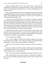Finally in, Bracken didn't want to move, didn't want to lose the perfect arrangement. He looked at the expanse before him, Adder's wide back and narrow waist, the glorious muscles of his ass—how they fitted gloriously over Bracken's groin.

Adder's body arched upward, his arms reaching back until he had his hands clasped behind Bracken's neck. With a motion designed to obliterate Bracken's mind, Adder impaled himself on Bracken's cock even more if possible and rotated his hips unhurriedly, evilly.

A stream of words started to pour out of Adder in a steadily continuous growl. How Bracken had opened his eyes. How similar they were. Two men who had not been born to be kings ruling out of love for their people, for their land. How he had loved Bracken more each day while he was convalescent after the attack as they learned new things about each other. All this mixed with curses and blessings and soft pleas for Bracken's hands to touch him, to steer him into paradise, oblivion, or totally welcome darkness.

Astonished and aroused to unknown levels, Bracken seized Adder's hips and took control of their ship. Now it was he who was pushing Adder away from his cock to bring him back in carefully calculated angles to wrench grunts and groans out of Adder, moving his hips at counterpoint.

"I'm so fucking close, Nightjar."

"Yes, I'm your Nightjar." Bracken kissed Adder's temple since the dark head rested over his shoulder. "Yours. Just yours, Adder," he whispered almost agonizingly. "I love you more than I thought I was capable of."

"Spill in me, Lakon, Rider of Vultures. Keep your cock in me while you come."

Each muscle in Bracken's body clenched, turned inward for a heartbeat just to explode and shatter in the next. Spurt after spurt rushed out of him to claim Adder of Munus as his, to make them one.

Adder's own climax had him shuddering and heaving in Bracken's arms.

Then, as Bracken felt seed caress his balls as it trickled out of Adder, his lover, in the most sinfully and perfectly glorious deep voice, he uttered, "Oh, my King."

# **The End**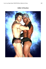

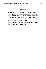## *Comments*

The traits of the Lakonian people are loosely based on the ancient Spartans who inhabited the main city of an area of Greece named Laconia. The English adjective *laconic,* from Greek *Lakōn* "an inhabitant of Laconia, a Spartan," reflects the Spartan reputation for incisive brevity when speaking and the value they placed on not mincing words.

So, forgive Bracken when he seems short in his thought process because that is just how he was raised.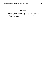## **Glossary**

Mileh = miles. E.g. the total area of Munus in square mileh is 205,897, a little bit more than Arkansas, Kentucky, Missouri and Tennessee combined.